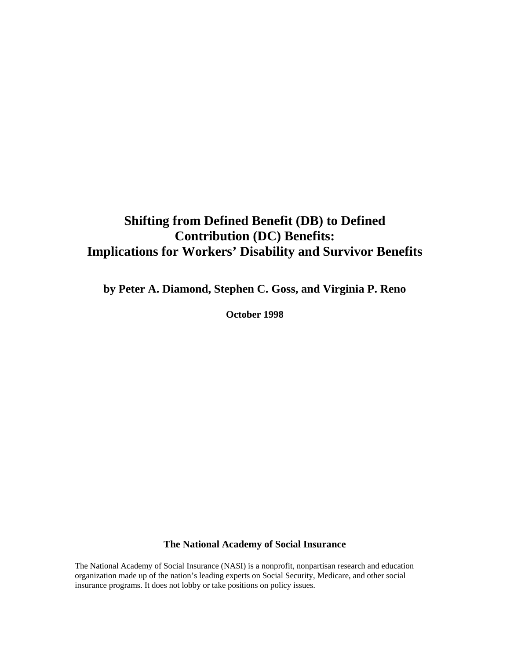# **Shifting from Defined Benefit (DB) to Defined Contribution (DC) Benefits: Implications for Workers' Disability and Survivor Benefits**

**by Peter A. Diamond, Stephen C. Goss, and Virginia P. Reno** 

**October 1998**

#### **The National Academy of Social Insurance**

The National Academy of Social Insurance (NASI) is a nonprofit, nonpartisan research and education organization made up of the nation's leading experts on Social Security, Medicare, and other social insurance programs. It does not lobby or take positions on policy issues.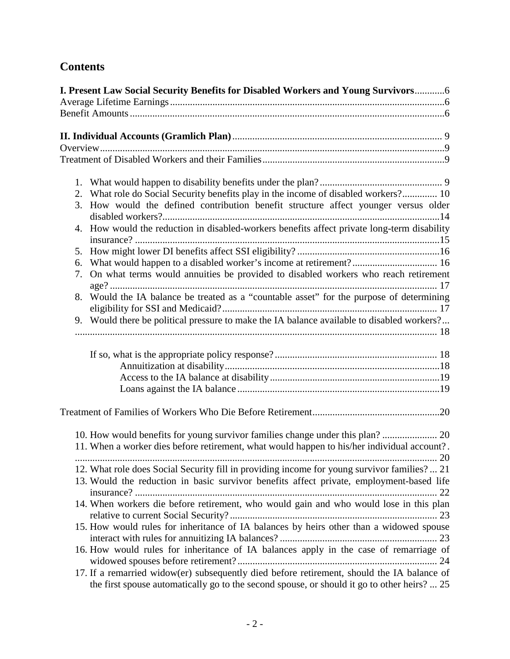# **Contents**

|    | I. Present Law Social Security Benefits for Disabled Workers and Young Survivors6                                                                                                                                                                                                                                                                                                                                                                                                                                                                                                    |
|----|--------------------------------------------------------------------------------------------------------------------------------------------------------------------------------------------------------------------------------------------------------------------------------------------------------------------------------------------------------------------------------------------------------------------------------------------------------------------------------------------------------------------------------------------------------------------------------------|
|    |                                                                                                                                                                                                                                                                                                                                                                                                                                                                                                                                                                                      |
|    |                                                                                                                                                                                                                                                                                                                                                                                                                                                                                                                                                                                      |
|    |                                                                                                                                                                                                                                                                                                                                                                                                                                                                                                                                                                                      |
|    |                                                                                                                                                                                                                                                                                                                                                                                                                                                                                                                                                                                      |
|    |                                                                                                                                                                                                                                                                                                                                                                                                                                                                                                                                                                                      |
|    |                                                                                                                                                                                                                                                                                                                                                                                                                                                                                                                                                                                      |
|    |                                                                                                                                                                                                                                                                                                                                                                                                                                                                                                                                                                                      |
|    | 2. What role do Social Security benefits play in the income of disabled workers? 10                                                                                                                                                                                                                                                                                                                                                                                                                                                                                                  |
|    | 3. How would the defined contribution benefit structure affect younger versus older                                                                                                                                                                                                                                                                                                                                                                                                                                                                                                  |
|    |                                                                                                                                                                                                                                                                                                                                                                                                                                                                                                                                                                                      |
|    | 4. How would the reduction in disabled-workers benefits affect private long-term disability                                                                                                                                                                                                                                                                                                                                                                                                                                                                                          |
|    |                                                                                                                                                                                                                                                                                                                                                                                                                                                                                                                                                                                      |
| 5. |                                                                                                                                                                                                                                                                                                                                                                                                                                                                                                                                                                                      |
| 6. | What would happen to a disabled worker's income at retirement? 16                                                                                                                                                                                                                                                                                                                                                                                                                                                                                                                    |
| 7. | On what terms would annuities be provided to disabled workers who reach retirement                                                                                                                                                                                                                                                                                                                                                                                                                                                                                                   |
|    |                                                                                                                                                                                                                                                                                                                                                                                                                                                                                                                                                                                      |
| 8. | Would the IA balance be treated as a "countable asset" for the purpose of determining                                                                                                                                                                                                                                                                                                                                                                                                                                                                                                |
|    |                                                                                                                                                                                                                                                                                                                                                                                                                                                                                                                                                                                      |
|    | 9. Would there be political pressure to make the IA balance available to disabled workers?                                                                                                                                                                                                                                                                                                                                                                                                                                                                                           |
|    |                                                                                                                                                                                                                                                                                                                                                                                                                                                                                                                                                                                      |
|    |                                                                                                                                                                                                                                                                                                                                                                                                                                                                                                                                                                                      |
|    |                                                                                                                                                                                                                                                                                                                                                                                                                                                                                                                                                                                      |
|    |                                                                                                                                                                                                                                                                                                                                                                                                                                                                                                                                                                                      |
|    |                                                                                                                                                                                                                                                                                                                                                                                                                                                                                                                                                                                      |
|    |                                                                                                                                                                                                                                                                                                                                                                                                                                                                                                                                                                                      |
|    |                                                                                                                                                                                                                                                                                                                                                                                                                                                                                                                                                                                      |
|    |                                                                                                                                                                                                                                                                                                                                                                                                                                                                                                                                                                                      |
|    | 11. When a worker dies before retirement, what would happen to his/her individual account?.                                                                                                                                                                                                                                                                                                                                                                                                                                                                                          |
|    |                                                                                                                                                                                                                                                                                                                                                                                                                                                                                                                                                                                      |
|    | $\begin{minipage}{0.9\linewidth} \begin{tabular}{ c c c c c } \hline \multicolumn{1}{ c }{0.9\linewidth} \end{tabular} & \multicolumn{1}{ c }{0.9\linewidth} \end{minipage} \begin{minipage}{0.9\linewidth} \begin{tabular}{ c c c c } \hline \multicolumn{1}{ c }{0.9\linewidth} \end{tabular} & \multicolumn{1}{ c }{0.9\linewidth} \end{minipage} \begin{minipage}{0.9\linewidth} \end{minipage} \begin{minipage}{0.9\linewidth} \begin{tabular}{ c c c c } \hline \multicolumn{1$<br>12. What role does Social Security fill in providing income for young survivor families? 21 |
|    | 13. Would the reduction in basic survivor benefits affect private, employment-based life                                                                                                                                                                                                                                                                                                                                                                                                                                                                                             |
|    |                                                                                                                                                                                                                                                                                                                                                                                                                                                                                                                                                                                      |
|    | 14. When workers die before retirement, who would gain and who would lose in this plan                                                                                                                                                                                                                                                                                                                                                                                                                                                                                               |
|    |                                                                                                                                                                                                                                                                                                                                                                                                                                                                                                                                                                                      |
|    | 15. How would rules for inheritance of IA balances by heirs other than a widowed spouse                                                                                                                                                                                                                                                                                                                                                                                                                                                                                              |
|    |                                                                                                                                                                                                                                                                                                                                                                                                                                                                                                                                                                                      |
|    | 16. How would rules for inheritance of IA balances apply in the case of remarriage of                                                                                                                                                                                                                                                                                                                                                                                                                                                                                                |
|    |                                                                                                                                                                                                                                                                                                                                                                                                                                                                                                                                                                                      |
|    | 17. If a remarried widow(er) subsequently died before retirement, should the IA balance of                                                                                                                                                                                                                                                                                                                                                                                                                                                                                           |
|    | the first spouse automatically go to the second spouse, or should it go to other heirs?  25                                                                                                                                                                                                                                                                                                                                                                                                                                                                                          |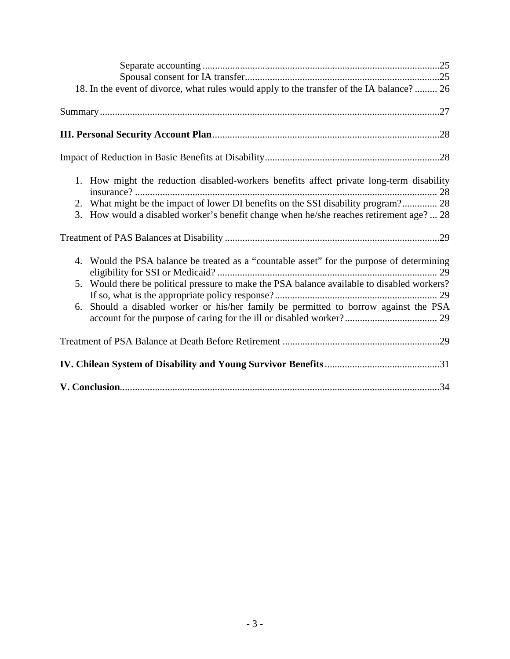| 18. In the event of divorce, what rules would apply to the transfer of the IA balance?  26                                                                                                                                                                                             |
|----------------------------------------------------------------------------------------------------------------------------------------------------------------------------------------------------------------------------------------------------------------------------------------|
|                                                                                                                                                                                                                                                                                        |
|                                                                                                                                                                                                                                                                                        |
|                                                                                                                                                                                                                                                                                        |
| 1. How might the reduction disabled-workers benefits affect private long-term disability<br>2. What might be the impact of lower DI benefits on the SSI disability program? 28<br>3. How would a disabled worker's benefit change when he/she reaches retirement age?  28              |
|                                                                                                                                                                                                                                                                                        |
|                                                                                                                                                                                                                                                                                        |
| 4. Would the PSA balance be treated as a "countable asset" for the purpose of determining<br>Would there be political pressure to make the PSA balance available to disabled workers?<br>5.<br>Should a disabled worker or his/her family be permitted to borrow against the PSA<br>6. |
|                                                                                                                                                                                                                                                                                        |
|                                                                                                                                                                                                                                                                                        |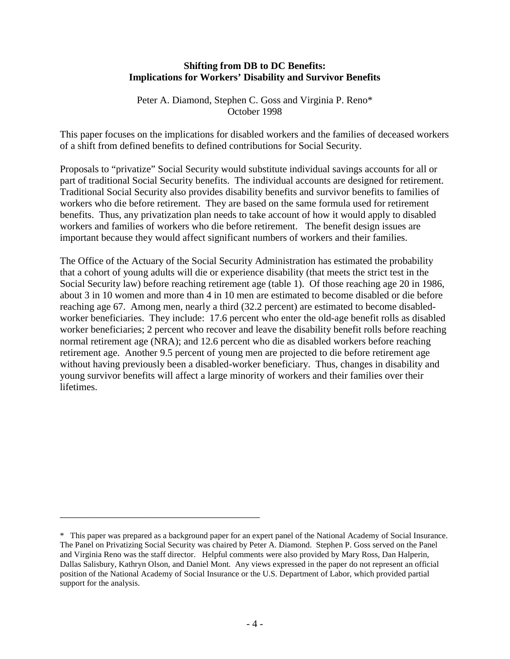#### **Shifting from DB to DC Benefits: Implications for Workers' Disability and Survivor Benefits**

Peter A. Diamond, Stephen C. Goss and Virginia P. Reno\* October 1998

This paper focuses on the implications for disabled workers and the families of deceased workers of a shift from defined benefits to defined contributions for Social Security.

Proposals to "privatize" Social Security would substitute individual savings accounts for all or part of traditional Social Security benefits. The individual accounts are designed for retirement. Traditional Social Security also provides disability benefits and survivor benefits to families of workers who die before retirement. They are based on the same formula used for retirement benefits. Thus, any privatization plan needs to take account of how it would apply to disabled workers and families of workers who die before retirement. The benefit design issues are important because they would affect significant numbers of workers and their families.

The Office of the Actuary of the Social Security Administration has estimated the probability that a cohort of young adults will die or experience disability (that meets the strict test in the Social Security law) before reaching retirement age (table 1). Of those reaching age 20 in 1986, about 3 in 10 women and more than 4 in 10 men are estimated to become disabled or die before reaching age 67. Among men, nearly a third (32.2 percent) are estimated to become disabledworker beneficiaries. They include: 17.6 percent who enter the old-age benefit rolls as disabled worker beneficiaries; 2 percent who recover and leave the disability benefit rolls before reaching normal retirement age (NRA); and 12.6 percent who die as disabled workers before reaching retirement age. Another 9.5 percent of young men are projected to die before retirement age without having previously been a disabled-worker beneficiary. Thus, changes in disability and young survivor benefits will affect a large minority of workers and their families over their lifetimes.

\_\_\_\_\_\_\_\_\_\_\_\_\_\_\_\_\_\_\_\_\_\_\_\_\_\_\_\_\_\_\_\_\_\_\_\_\_\_\_\_

<sup>\*</sup> This paper was prepared as a background paper for an expert panel of the National Academy of Social Insurance. The Panel on Privatizing Social Security was chaired by Peter A. Diamond. Stephen P. Goss served on the Panel and Virginia Reno was the staff director. Helpful comments were also provided by Mary Ross, Dan Halperin, Dallas Salisbury, Kathryn Olson, and Daniel Mont. Any views expressed in the paper do not represent an official position of the National Academy of Social Insurance or the U.S. Department of Labor, which provided partial support for the analysis.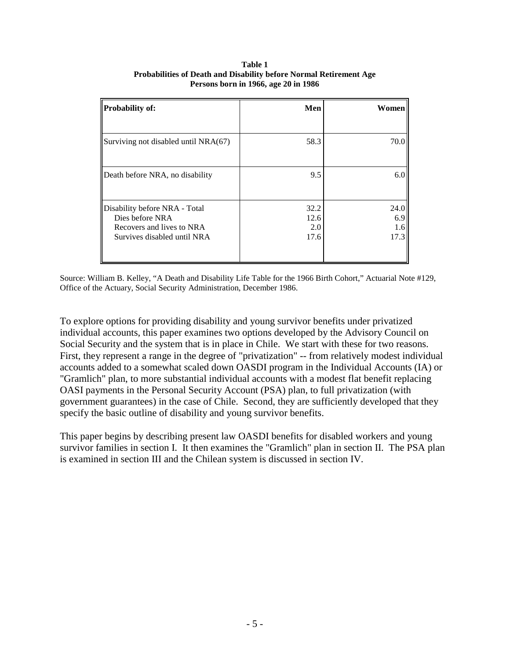| <b>Probability of:</b>               | Men  | Women |
|--------------------------------------|------|-------|
|                                      |      |       |
| Surviving not disabled until NRA(67) | 58.3 | 70.0  |
|                                      |      |       |
| Death before NRA, no disability      | 9.5  | 6.0   |
|                                      |      |       |
| Disability before NRA - Total        | 32.2 | 24.0  |
| Dies before NRA                      | 12.6 | 6.9   |
| Recovers and lives to NRA            | 2.0  | 1.6   |
| Survives disabled until NRA          | 17.6 | 17.3  |
|                                      |      |       |
|                                      |      |       |

**Table 1 Probabilities of Death and Disability before Normal Retirement Age Persons born in 1966, age 20 in 1986**

Source: William B. Kelley, "A Death and Disability Life Table for the 1966 Birth Cohort," Actuarial Note #129, Office of the Actuary, Social Security Administration, December 1986.

To explore options for providing disability and young survivor benefits under privatized individual accounts, this paper examines two options developed by the Advisory Council on Social Security and the system that is in place in Chile. We start with these for two reasons. First, they represent a range in the degree of "privatization" -- from relatively modest individual accounts added to a somewhat scaled down OASDI program in the Individual Accounts (IA) or "Gramlich" plan, to more substantial individual accounts with a modest flat benefit replacing OASI payments in the Personal Security Account (PSA) plan, to full privatization (with government guarantees) in the case of Chile. Second, they are sufficiently developed that they specify the basic outline of disability and young survivor benefits.

This paper begins by describing present law OASDI benefits for disabled workers and young survivor families in section I. It then examines the "Gramlich" plan in section II. The PSA plan is examined in section III and the Chilean system is discussed in section IV.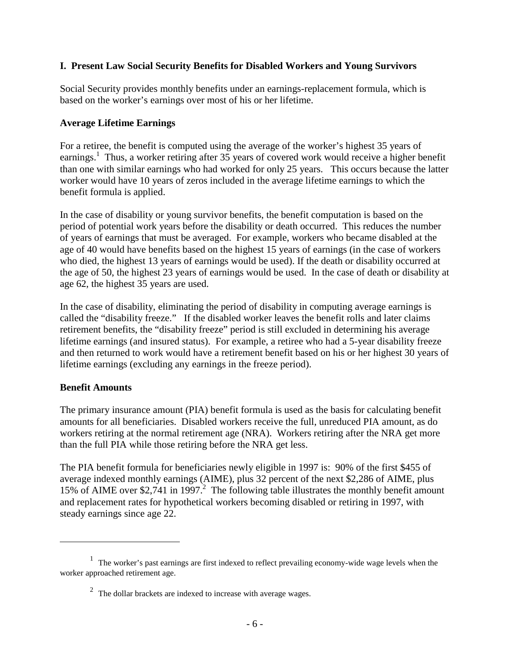#### **I. Present Law Social Security Benefits for Disabled Workers and Young Survivors**

Social Security provides monthly benefits under an earnings-replacement formula, which is based on the worker's earnings over most of his or her lifetime.

#### **Average Lifetime Earnings**

For a retiree, the benefit is computed using the average of the worker's highest 35 years of earnings.<sup>1</sup> Thus, a worker retiring after 35 years of covered work would receive a higher benefit than one with similar earnings who had worked for only 25 years. This occurs because the latter worker would have 10 years of zeros included in the average lifetime earnings to which the benefit formula is applied.

In the case of disability or young survivor benefits, the benefit computation is based on the period of potential work years before the disability or death occurred. This reduces the number of years of earnings that must be averaged. For example, workers who became disabled at the age of 40 would have benefits based on the highest 15 years of earnings (in the case of workers who died, the highest 13 years of earnings would be used). If the death or disability occurred at the age of 50, the highest 23 years of earnings would be used. In the case of death or disability at age 62, the highest 35 years are used.

In the case of disability, eliminating the period of disability in computing average earnings is called the "disability freeze." If the disabled worker leaves the benefit rolls and later claims retirement benefits, the "disability freeze" period is still excluded in determining his average lifetime earnings (and insured status). For example, a retiree who had a 5-year disability freeze and then returned to work would have a retirement benefit based on his or her highest 30 years of lifetime earnings (excluding any earnings in the freeze period).

#### **Benefit Amounts**

1

The primary insurance amount (PIA) benefit formula is used as the basis for calculating benefit amounts for all beneficiaries. Disabled workers receive the full, unreduced PIA amount, as do workers retiring at the normal retirement age (NRA). Workers retiring after the NRA get more than the full PIA while those retiring before the NRA get less.

The PIA benefit formula for beneficiaries newly eligible in 1997 is: 90% of the first \$455 of average indexed monthly earnings (AIME), plus 32 percent of the next \$2,286 of AIME, plus 15% of AIME over \$2,741 in 1997.<sup>2</sup> The following table illustrates the monthly benefit amount and replacement rates for hypothetical workers becoming disabled or retiring in 1997, with steady earnings since age 22.

<sup>&</sup>lt;sup>1</sup> The worker's past earnings are first indexed to reflect prevailing economy-wide wage levels when the worker approached retirement age.

 $2$  The dollar brackets are indexed to increase with average wages.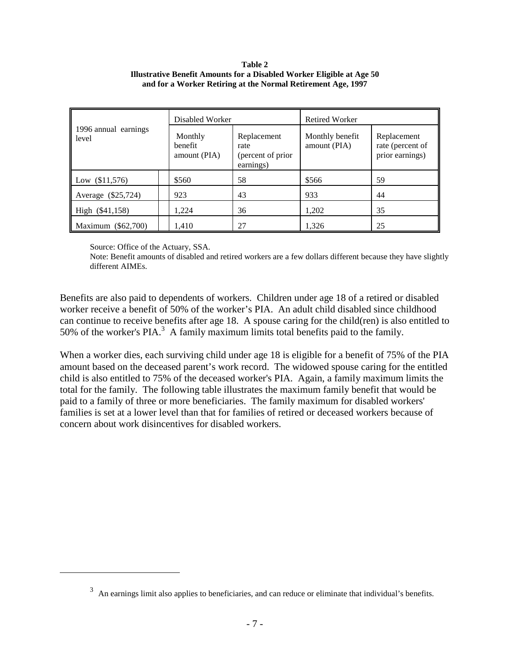#### **Table 2 Illustrative Benefit Amounts for a Disabled Worker Eligible at Age 50 and for a Worker Retiring at the Normal Retirement Age, 1997**

|                               | Disabled Worker                    |                                                       | Retired Worker                  |                                                    |  |
|-------------------------------|------------------------------------|-------------------------------------------------------|---------------------------------|----------------------------------------------------|--|
| 1996 annual earnings<br>level | Monthly<br>benefit<br>amount (PIA) | Replacement<br>rate<br>(percent of prior<br>earnings) | Monthly benefit<br>amount (PIA) | Replacement<br>rate (percent of<br>prior earnings) |  |
| Low $(\$11,576)$              | \$560                              | 58                                                    | \$566                           | 59                                                 |  |
| Average (\$25,724)            | 923                                | 43                                                    | 933                             | 44                                                 |  |
| High (\$41,158)               | 1,224                              | 36                                                    | 1,202                           | 35                                                 |  |
| Maximum (\$62,700)            | 1,410                              | 27                                                    | 1,326                           | 25                                                 |  |

Source: Office of the Actuary, SSA.

 $\overline{a}$ 

Note: Benefit amounts of disabled and retired workers are a few dollars different because they have slightly different AIMEs.

Benefits are also paid to dependents of workers. Children under age 18 of a retired or disabled worker receive a benefit of 50% of the worker's PIA. An adult child disabled since childhood can continue to receive benefits after age 18. A spouse caring for the child(ren) is also entitled to 50% of the worker's  $PIA.$ <sup>3</sup> A family maximum limits total benefits paid to the family.

When a worker dies, each surviving child under age 18 is eligible for a benefit of 75% of the PIA amount based on the deceased parent's work record. The widowed spouse caring for the entitled child is also entitled to 75% of the deceased worker's PIA. Again, a family maximum limits the total for the family. The following table illustrates the maximum family benefit that would be paid to a family of three or more beneficiaries. The family maximum for disabled workers' families is set at a lower level than that for families of retired or deceased workers because of concern about work disincentives for disabled workers.

 $3$  An earnings limit also applies to beneficiaries, and can reduce or eliminate that individual's benefits.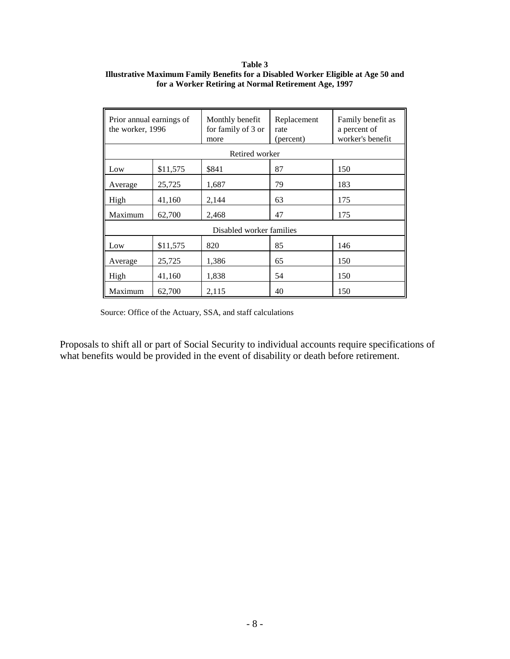#### **Table 3 Illustrative Maximum Family Benefits for a Disabled Worker Eligible at Age 50 and for a Worker Retiring at Normal Retirement Age, 1997**

| Prior annual earnings of<br>the worker, 1996 |          | Monthly benefit<br>for family of 3 or<br>more | Replacement<br>rate<br>(percent) | Family benefit as<br>a percent of<br>worker's benefit |
|----------------------------------------------|----------|-----------------------------------------------|----------------------------------|-------------------------------------------------------|
|                                              |          | Retired worker                                |                                  |                                                       |
| Low                                          | \$11,575 | \$841                                         | 87                               | 150                                                   |
| Average                                      | 25,725   | 1,687                                         | 79                               | 183                                                   |
| High                                         | 41,160   | 2,144                                         | 63                               | 175                                                   |
| Maximum<br>62,700                            |          | 2,468                                         | 47                               | 175                                                   |
|                                              |          | Disabled worker families                      |                                  |                                                       |
| Low                                          | \$11,575 | 820                                           | 85                               | 146                                                   |
| Average                                      | 25,725   | 1,386                                         | 65                               | 150                                                   |
| High                                         | 41,160   | 1,838                                         | 54                               | 150                                                   |
| Maximum                                      | 62,700   | 2,115                                         | 40                               | 150                                                   |

Source: Office of the Actuary, SSA, and staff calculations

Proposals to shift all or part of Social Security to individual accounts require specifications of what benefits would be provided in the event of disability or death before retirement.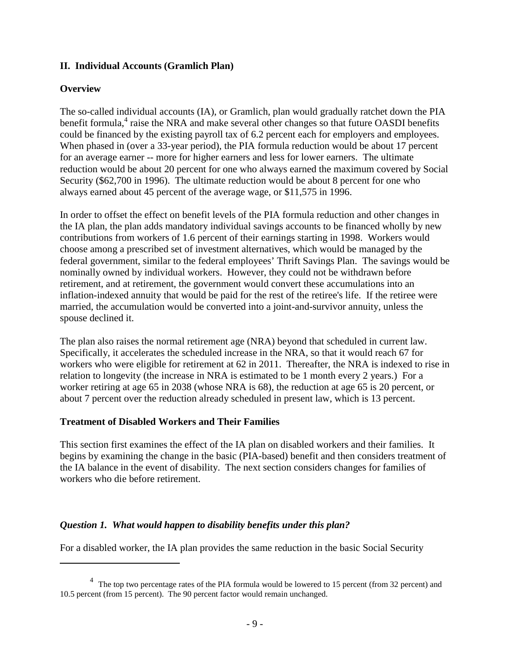#### **II. Individual Accounts (Gramlich Plan)**

#### **Overview**

 $\overline{a}$ 

The so-called individual accounts (IA), or Gramlich, plan would gradually ratchet down the PIA benefit formula,<sup>4</sup> raise the NRA and make several other changes so that future OASDI benefits could be financed by the existing payroll tax of 6.2 percent each for employers and employees. When phased in (over a 33-year period), the PIA formula reduction would be about 17 percent for an average earner -- more for higher earners and less for lower earners. The ultimate reduction would be about 20 percent for one who always earned the maximum covered by Social Security (\$62,700 in 1996). The ultimate reduction would be about 8 percent for one who always earned about 45 percent of the average wage, or \$11,575 in 1996.

In order to offset the effect on benefit levels of the PIA formula reduction and other changes in the IA plan, the plan adds mandatory individual savings accounts to be financed wholly by new contributions from workers of 1.6 percent of their earnings starting in 1998. Workers would choose among a prescribed set of investment alternatives, which would be managed by the federal government, similar to the federal employees' Thrift Savings Plan. The savings would be nominally owned by individual workers. However, they could not be withdrawn before retirement, and at retirement, the government would convert these accumulations into an inflation-indexed annuity that would be paid for the rest of the retiree's life. If the retiree were married, the accumulation would be converted into a joint-and-survivor annuity, unless the spouse declined it.

The plan also raises the normal retirement age (NRA) beyond that scheduled in current law. Specifically, it accelerates the scheduled increase in the NRA, so that it would reach 67 for workers who were eligible for retirement at 62 in 2011. Thereafter, the NRA is indexed to rise in relation to longevity (the increase in NRA is estimated to be 1 month every 2 years.) For a worker retiring at age 65 in 2038 (whose NRA is 68), the reduction at age 65 is 20 percent, or about 7 percent over the reduction already scheduled in present law, which is 13 percent.

#### **Treatment of Disabled Workers and Their Families**

This section first examines the effect of the IA plan on disabled workers and their families. It begins by examining the change in the basic (PIA-based) benefit and then considers treatment of the IA balance in the event of disability. The next section considers changes for families of workers who die before retirement.

#### *Question 1. What would happen to disability benefits under this plan?*

For a disabled worker, the IA plan provides the same reduction in the basic Social Security

<sup>&</sup>lt;sup>4</sup> The top two percentage rates of the PIA formula would be lowered to 15 percent (from 32 percent) and 10.5 percent (from 15 percent). The 90 percent factor would remain unchanged.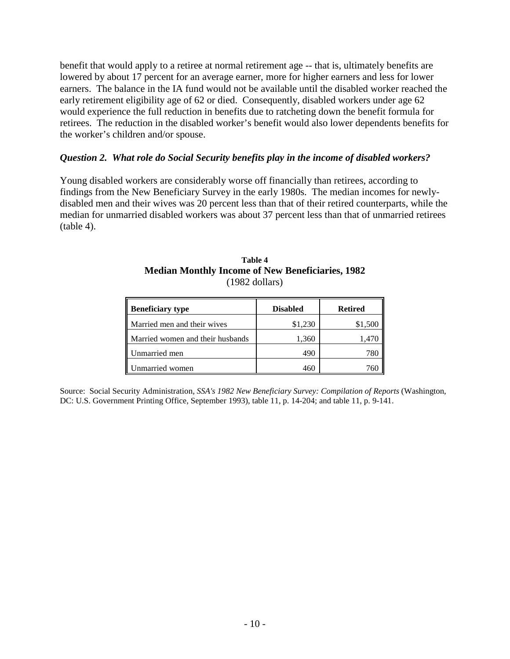benefit that would apply to a retiree at normal retirement age -- that is, ultimately benefits are lowered by about 17 percent for an average earner, more for higher earners and less for lower earners. The balance in the IA fund would not be available until the disabled worker reached the early retirement eligibility age of 62 or died. Consequently, disabled workers under age 62 would experience the full reduction in benefits due to ratcheting down the benefit formula for retirees. The reduction in the disabled worker's benefit would also lower dependents benefits for the worker's children and/or spouse.

#### *Question 2. What role do Social Security benefits play in the income of disabled workers?*

Young disabled workers are considerably worse off financially than retirees, according to findings from the New Beneficiary Survey in the early 1980s. The median incomes for newlydisabled men and their wives was 20 percent less than that of their retired counterparts, while the median for unmarried disabled workers was about 37 percent less than that of unmarried retirees  $(table 4)$ .

| Table 4                                                 |  |  |  |  |  |  |
|---------------------------------------------------------|--|--|--|--|--|--|
| <b>Median Monthly Income of New Beneficiaries, 1982</b> |  |  |  |  |  |  |
| $(1982$ dollars)                                        |  |  |  |  |  |  |

| <b>Beneficiary type</b>          | <b>Disabled</b> | <b>Retired</b> |
|----------------------------------|-----------------|----------------|
| Married men and their wives      | \$1,230         | \$1,500        |
| Married women and their husbands | 1,360           | 1,470          |
| Unmarried men                    | 490             |                |
| Unmarried women                  | 460             |                |

Source: Social Security Administration, *SSA's 1982 New Beneficiary Survey: Compilation of Reports* (Washington, DC: U.S. Government Printing Office, September 1993), table 11, p. 14-204; and table 11, p. 9-141.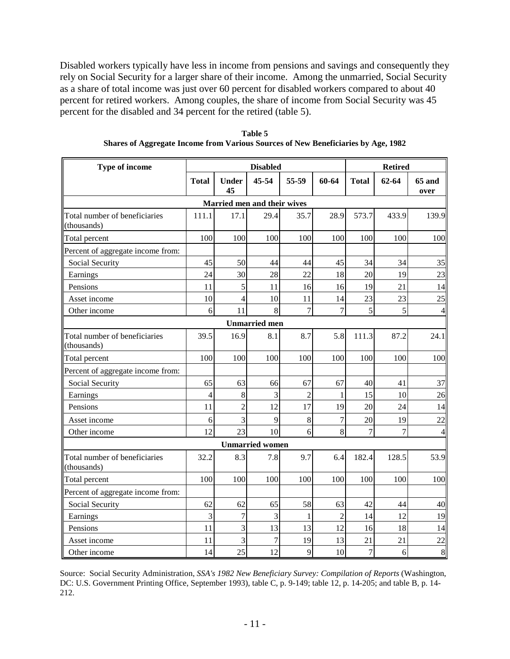Disabled workers typically have less in income from pensions and savings and consequently they rely on Social Security for a larger share of their income. Among the unmarried, Social Security as a share of total income was just over 60 percent for disabled workers compared to about 40 percent for retired workers. Among couples, the share of income from Social Security was 45 percent for the disabled and 34 percent for the retired (table 5).

| Type of income                               | <b>Disabled</b> |                         |                             |                | <b>Retired</b> |                |       |                       |
|----------------------------------------------|-----------------|-------------------------|-----------------------------|----------------|----------------|----------------|-------|-----------------------|
|                                              | <b>Total</b>    | <b>Under</b><br>45      | 45-54                       | 55-59          | 60-64          | <b>Total</b>   | 62-64 | <b>65 and</b><br>over |
|                                              |                 |                         | Married men and their wives |                |                |                |       |                       |
| Total number of beneficiaries<br>(thousands) | 111.1           | 17.1                    | 29.4                        | 35.7           | 28.9           | 573.7          | 433.9 | 139.9                 |
| Total percent                                | 100             | 100                     | 100                         | 100            | 100            | 100            | 100   | 100                   |
| Percent of aggregate income from:            |                 |                         |                             |                |                |                |       |                       |
| Social Security                              | 45              | 50                      | 44                          | 44             | 45             | 34             | 34    | 35                    |
| Earnings                                     | 24              | 30                      | 28                          | 22             | 18             | 20             | 19    | 23                    |
| Pensions                                     | 11              | 5                       | 11                          | 16             | 16             | 19             | 21    | 14                    |
| Asset income                                 | 10              | $\overline{4}$          | 10                          | 11             | 14             | 23             | 23    | 25                    |
| Other income                                 | 6               | 11                      | 8                           | 7              | $\overline{7}$ | 5              | 5     | $\overline{4}$        |
|                                              |                 |                         | <b>Unmarried</b> men        |                |                |                |       |                       |
| Total number of beneficiaries<br>(thousands) | 39.5            | 16.9                    | 8.1                         | 8.7            | 5.8            | 111.3          | 87.2  | 24.1                  |
| Total percent                                | 100             | 100                     | 100                         | 100            | 100            | 100            | 100   | 100                   |
| Percent of aggregate income from:            |                 |                         |                             |                |                |                |       |                       |
| Social Security                              | 65              | 63                      | 66                          | 67             | 67             | 40             | 41    | 37                    |
| Earnings                                     | $\overline{4}$  | 8                       | 3                           | $\overline{2}$ | 1              | 15             | 10    | 26                    |
| Pensions                                     | 11              | $\overline{2}$          | 12                          | 17             | 19             | 20             | 24    | 14                    |
| Asset income                                 | 6               | $\overline{\mathbf{3}}$ | 9                           | 8              | $\overline{7}$ | 20             | 19    | 22                    |
| Other income                                 | 12              | 23                      | 10                          | 6              | 8              | 7              | 7     | $\overline{4}$        |
|                                              |                 |                         | <b>Unmarried</b> women      |                |                |                |       |                       |
| Total number of beneficiaries<br>(thousands) | 32.2            | 8.3                     | 7.8                         | 9.7            | 6.4            | 182.4          | 128.5 | 53.9                  |
| Total percent                                | 100             | 100                     | 100                         | 100            | 100            | 100            | 100   | 100                   |
| Percent of aggregate income from:            |                 |                         |                             |                |                |                |       |                       |
| Social Security                              | 62              | 62                      | 65                          | 58             | 63             | 42             | 44    | 40                    |
| Earnings                                     | 3               | $\overline{7}$          | 3                           | 1              | $\overline{2}$ | 14             | 12    | 19                    |
| Pensions                                     | 11              | $\overline{3}$          | 13                          | 13             | 12             | 16             | 18    | 14                    |
| Asset income                                 | 11              | 3                       | $\overline{7}$              | 19             | 13             | 21             | 21    | 22                    |
| Other income                                 | 14              | 25                      | 12                          | 9              | 10             | $\overline{7}$ | 6     | 8                     |

**Table 5 Shares of Aggregate Income from Various Sources of New Beneficiaries by Age, 1982**

Source: Social Security Administration, *SSA's 1982 New Beneficiary Survey: Compilation of Reports* (Washington, DC: U.S. Government Printing Office, September 1993), table C, p. 9-149; table 12, p. 14-205; and table B, p. 14- 212.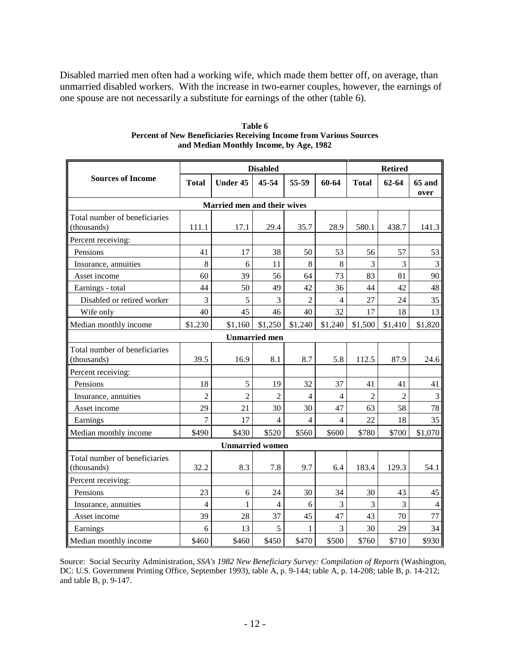Disabled married men often had a working wife, which made them better off, on average, than unmarried disabled workers. With the increase in two-earner couples, however, the earnings of one spouse are not necessarily a substitute for earnings of the other (table 6).

|                                              | <b>Disabled</b>             |                        |                      |                | <b>Retired</b> |                |                |                |
|----------------------------------------------|-----------------------------|------------------------|----------------------|----------------|----------------|----------------|----------------|----------------|
| <b>Sources of Income</b>                     | <b>Total</b>                | <b>Under 45</b>        | 45-54                | 55-59          | 60-64          | <b>Total</b>   | $62 - 64$      | 65 and<br>over |
|                                              | Married men and their wives |                        |                      |                |                |                |                |                |
| Total number of beneficiaries<br>(thousands) | 111.1                       | 17.1                   | 29.4                 | 35.7           | 28.9           | 580.1          | 438.7          | 141.3          |
| Percent receiving:                           |                             |                        |                      |                |                |                |                |                |
| Pensions                                     | 41                          | 17                     | 38                   | 50             | 53             | 56             | 57             | 53             |
| Insurance, annuities                         | 8                           | 6                      | 11                   | 8              | 8              | 3              | 3              | 3              |
| Asset income                                 | 60                          | 39                     | 56                   | 64             | 73             | 83             | 81             | 90             |
| Earnings - total                             | 44                          | 50                     | 49                   | 42             | 36             | 44             | 42             | 48             |
| Disabled or retired worker                   | 3                           | 5                      | 3                    | $\overline{2}$ | $\overline{4}$ | 27             | 24             | 35             |
| Wife only                                    | 40                          | 45                     | 46                   | 40             | 32             | 17             | 18             | 13             |
| Median monthly income                        | \$1,230                     | \$1,160                | \$1,250              | \$1,240        | \$1,240        | \$1,500        | \$1,410        | \$1,820        |
|                                              |                             |                        | <b>Unmarried</b> men |                |                |                |                |                |
| Total number of beneficiaries<br>(thousands) | 39.5                        | 16.9                   | 8.1                  | 8.7            | 5.8            | 112.5          | 87.9           | 24.6           |
| Percent receiving:                           |                             |                        |                      |                |                |                |                |                |
| Pensions                                     | 18                          | 5                      | 19                   | 32             | 37             | 41             | 41             | 41             |
| Insurance, annuities                         | $\overline{2}$              | $\overline{2}$         | $\overline{2}$       | $\overline{4}$ | 4              | $\overline{2}$ | $\overline{c}$ | $\mathfrak{Z}$ |
| Asset income                                 | 29                          | 21                     | 30                   | 30             | 47             | 63             | 58             | 78             |
| Earnings                                     | 7                           | 17                     | $\overline{4}$       | 4              | 4              | 22             | 18             | 35             |
| Median monthly income                        | \$490                       | \$430                  | \$520                | \$560          | \$600          | \$780          | \$700          | \$1,070        |
|                                              |                             | <b>Unmarried women</b> |                      |                |                |                |                |                |
| Total number of beneficiaries<br>(thousands) | 32.2                        | 8.3                    | 7.8                  | 9.7            | 6.4            | 183.4          | 129.3          | 54.1           |
| Percent receiving:                           |                             |                        |                      |                |                |                |                |                |
| Pensions                                     | 23                          | 6                      | 24                   | 30             | 34             | 30             | 43             | 45             |
| Insurance, annuities                         | $\overline{4}$              | $\mathbf{1}$           | $\overline{4}$       | 6              | 3              | 3              | 3              | $\overline{4}$ |
| Asset income                                 | 39                          | 28                     | 37                   | 45             | 47             | 43             | 70             | 77             |
| Earnings                                     | 6                           | 13                     | 5                    | 1              | 3              | 30             | 29             | 34             |
| Median monthly income                        | \$460                       | \$460                  | \$450                | \$470          | \$500          | \$760          | \$710          | \$930          |

#### **Table 6 Percent of New Beneficiaries Receiving Income from Various Sources and Median Monthly Income, by Age, 1982**

Source: Social Security Administration, *SSA's 1982 New Beneficiary Survey: Compilation of Reports* (Washington, DC: U.S. Government Printing Office, September 1993), table A, p. 9-144; table A, p. 14-208; table B, p. 14-212; and table B, p. 9-147.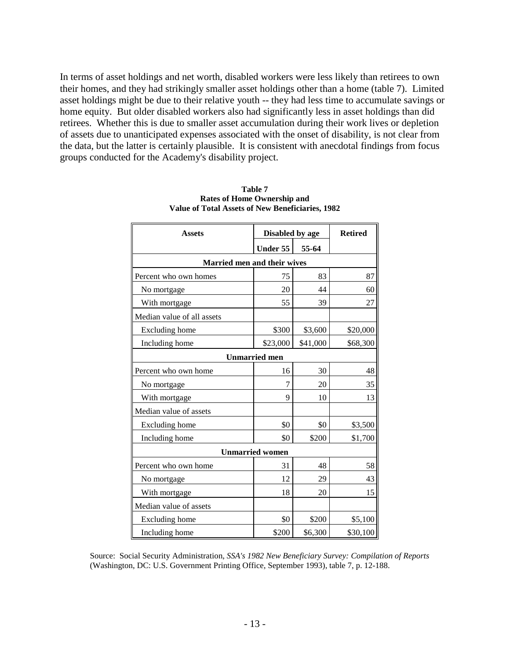In terms of asset holdings and net worth, disabled workers were less likely than retirees to own their homes, and they had strikingly smaller asset holdings other than a home (table 7). Limited asset holdings might be due to their relative youth -- they had less time to accumulate savings or home equity. But older disabled workers also had significantly less in asset holdings than did retirees. Whether this is due to smaller asset accumulation during their work lives or depletion of assets due to unanticipated expenses associated with the onset of disability, is not clear from the data, but the latter is certainly plausible. It is consistent with anecdotal findings from focus groups conducted for the Academy's disability project.

| <b>Assets</b>               | Disabled by age        | <b>Retired</b> |          |
|-----------------------------|------------------------|----------------|----------|
|                             | Under 55               | 55-64          |          |
| Married men and their wives |                        |                |          |
| Percent who own homes       | 75                     | 83             | 87       |
| No mortgage                 | 20                     | 44             | 60       |
| With mortgage               | 55                     | 39             | 27       |
| Median value of all assets  |                        |                |          |
| Excluding home              | \$300                  | \$3,600        | \$20,000 |
| Including home              | \$23,000               | \$41,000       | \$68,300 |
|                             | <b>Unmarried men</b>   |                |          |
| Percent who own home        | 16                     | 30             | 48       |
| No mortgage                 | 7                      | 20             | 35       |
| With mortgage               | 9                      | 10             | 13       |
| Median value of assets      |                        |                |          |
| Excluding home              | \$0                    | \$0            | \$3,500  |
| Including home              | \$0                    | \$200          | \$1,700  |
|                             | <b>Unmarried women</b> |                |          |
| Percent who own home        | 31                     | 48             | 58       |
| No mortgage                 | 12                     | 29             | 43       |
| With mortgage               | 18                     | 20             | 15       |
| Median value of assets      |                        |                |          |
| Excluding home              | \$0                    | \$200          | \$5,100  |
| Including home              | \$200                  | \$6,300        | \$30,100 |

**Table 7 Rates of Home Ownership and Value of Total Assets of New Beneficiaries, 1982** 

Source: Social Security Administration, *SSA's 1982 New Beneficiary Survey: Compilation of Reports* (Washington, DC: U.S. Government Printing Office, September 1993), table 7, p. 12-188.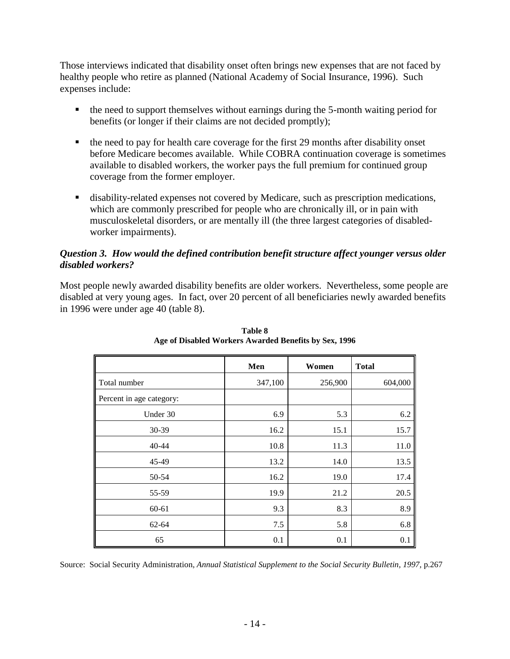Those interviews indicated that disability onset often brings new expenses that are not faced by healthy people who retire as planned (National Academy of Social Insurance, 1996). Such expenses include:

- ! the need to support themselves without earnings during the 5-month waiting period for benefits (or longer if their claims are not decided promptly);
- ! the need to pay for health care coverage for the first 29 months after disability onset before Medicare becomes available. While COBRA continuation coverage is sometimes available to disabled workers, the worker pays the full premium for continued group coverage from the former employer.
- ! disability-related expenses not covered by Medicare, such as prescription medications, which are commonly prescribed for people who are chronically ill, or in pain with musculoskeletal disorders, or are mentally ill (the three largest categories of disabledworker impairments).

#### *Question 3. How would the defined contribution benefit structure affect younger versus older disabled workers?*

Most people newly awarded disability benefits are older workers. Nevertheless, some people are disabled at very young ages. In fact, over 20 percent of all beneficiaries newly awarded benefits in 1996 were under age 40 (table 8).

|                          | Men     | Women   | <b>Total</b> |
|--------------------------|---------|---------|--------------|
| Total number             | 347,100 | 256,900 | 604,000      |
| Percent in age category: |         |         |              |
| Under 30                 | 6.9     | 5.3     | 6.2          |
| $30-39$                  | 16.2    | 15.1    | 15.7         |
| 40-44                    | 10.8    | 11.3    | 11.0         |
| 45-49                    | 13.2    | 14.0    | 13.5         |
| 50-54                    | 16.2    | 19.0    | 17.4         |
| 55-59                    | 19.9    | 21.2    | 20.5         |
| $60 - 61$                | 9.3     | 8.3     | 8.9          |
| $62 - 64$                | 7.5     | 5.8     | 6.8          |
| 65                       | 0.1     | 0.1     | 0.1          |

**Table 8 Age of Disabled Workers Awarded Benefits by Sex, 1996** 

Source: Social Security Administration, *Annual Statistical Supplement to the Social Security Bulletin, 1997, p.267*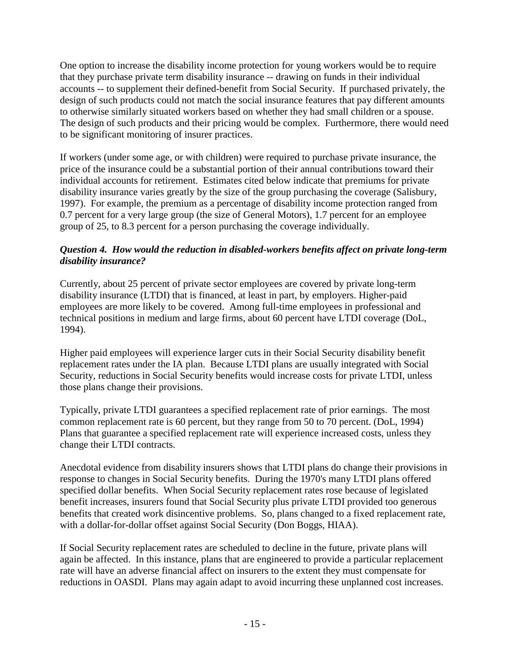One option to increase the disability income protection for young workers would be to require that they purchase private term disability insurance -- drawing on funds in their individual accounts -- to supplement their defined-benefit from Social Security. If purchased privately, the design of such products could not match the social insurance features that pay different amounts to otherwise similarly situated workers based on whether they had small children or a spouse. The design of such products and their pricing would be complex. Furthermore, there would need to be significant monitoring of insurer practices.

If workers (under some age, or with children) were required to purchase private insurance, the price of the insurance could be a substantial portion of their annual contributions toward their individual accounts for retirement. Estimates cited below indicate that premiums for private disability insurance varies greatly by the size of the group purchasing the coverage (Salisbury, 1997). For example, the premium as a percentage of disability income protection ranged from 0.7 percent for a very large group (the size of General Motors), 1.7 percent for an employee group of 25, to 8.3 percent for a person purchasing the coverage individually.

#### *Question 4. How would the reduction in disabled-workers benefits affect on private long-term disability insurance?*

Currently, about 25 percent of private sector employees are covered by private long-term disability insurance (LTDI) that is financed, at least in part, by employers. Higher-paid employees are more likely to be covered. Among full-time employees in professional and technical positions in medium and large firms, about 60 percent have LTDI coverage (DoL, 1994).

Higher paid employees will experience larger cuts in their Social Security disability benefit replacement rates under the IA plan. Because LTDI plans are usually integrated with Social Security, reductions in Social Security benefits would increase costs for private LTDI, unless those plans change their provisions.

Typically, private LTDI guarantees a specified replacement rate of prior earnings. The most common replacement rate is 60 percent, but they range from 50 to 70 percent. (DoL, 1994) Plans that guarantee a specified replacement rate will experience increased costs, unless they change their LTDI contracts.

Anecdotal evidence from disability insurers shows that LTDI plans do change their provisions in response to changes in Social Security benefits. During the 1970's many LTDI plans offered specified dollar benefits. When Social Security replacement rates rose because of legislated benefit increases, insurers found that Social Security plus private LTDI provided too generous benefits that created work disincentive problems. So, plans changed to a fixed replacement rate, with a dollar-for-dollar offset against Social Security (Don Boggs, HIAA).

If Social Security replacement rates are scheduled to decline in the future, private plans will again be affected. In this instance, plans that are engineered to provide a particular replacement rate will have an adverse financial affect on insurers to the extent they must compensate for reductions in OASDI. Plans may again adapt to avoid incurring these unplanned cost increases.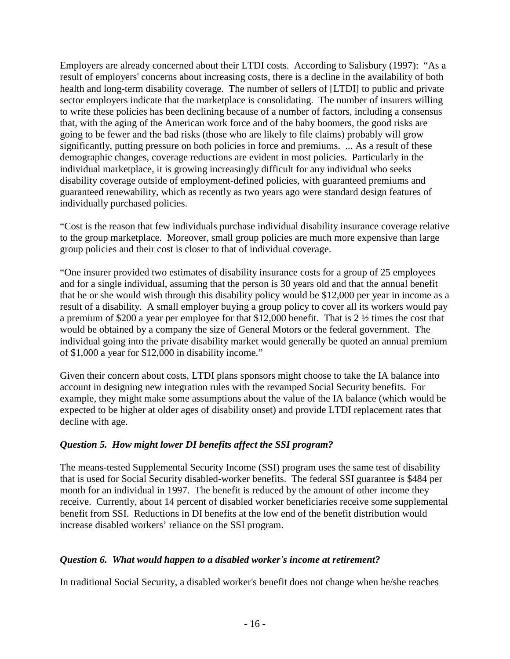Employers are already concerned about their LTDI costs. According to Salisbury (1997): "As a result of employers' concerns about increasing costs, there is a decline in the availability of both health and long-term disability coverage. The number of sellers of [LTDI] to public and private sector employers indicate that the marketplace is consolidating. The number of insurers willing to write these policies has been declining because of a number of factors, including a consensus that, with the aging of the American work force and of the baby boomers, the good risks are going to be fewer and the bad risks (those who are likely to file claims) probably will grow significantly, putting pressure on both policies in force and premiums. ... As a result of these demographic changes, coverage reductions are evident in most policies. Particularly in the individual marketplace, it is growing increasingly difficult for any individual who seeks disability coverage outside of employment-defined policies, with guaranteed premiums and guaranteed renewability, which as recently as two years ago were standard design features of individually purchased policies.

"Cost is the reason that few individuals purchase individual disability insurance coverage relative to the group marketplace. Moreover, small group policies are much more expensive than large group policies and their cost is closer to that of individual coverage.

"One insurer provided two estimates of disability insurance costs for a group of 25 employees and for a single individual, assuming that the person is 30 years old and that the annual benefit that he or she would wish through this disability policy would be \$12,000 per year in income as a result of a disability. A small employer buying a group policy to cover all its workers would pay a premium of \$200 a year per employee for that \$12,000 benefit. That is 2 ½ times the cost that would be obtained by a company the size of General Motors or the federal government. The individual going into the private disability market would generally be quoted an annual premium of \$1,000 a year for \$12,000 in disability income."

Given their concern about costs, LTDI plans sponsors might choose to take the IA balance into account in designing new integration rules with the revamped Social Security benefits. For example, they might make some assumptions about the value of the IA balance (which would be expected to be higher at older ages of disability onset) and provide LTDI replacement rates that decline with age.

#### *Question 5. How might lower DI benefits affect the SSI program?*

The means-tested Supplemental Security Income (SSI) program uses the same test of disability that is used for Social Security disabled-worker benefits. The federal SSI guarantee is \$484 per month for an individual in 1997. The benefit is reduced by the amount of other income they receive. Currently, about 14 percent of disabled worker beneficiaries receive some supplemental benefit from SSI. Reductions in DI benefits at the low end of the benefit distribution would increase disabled workers' reliance on the SSI program.

### *Question 6. What would happen to a disabled worker's income at retirement?*

In traditional Social Security, a disabled worker's benefit does not change when he/she reaches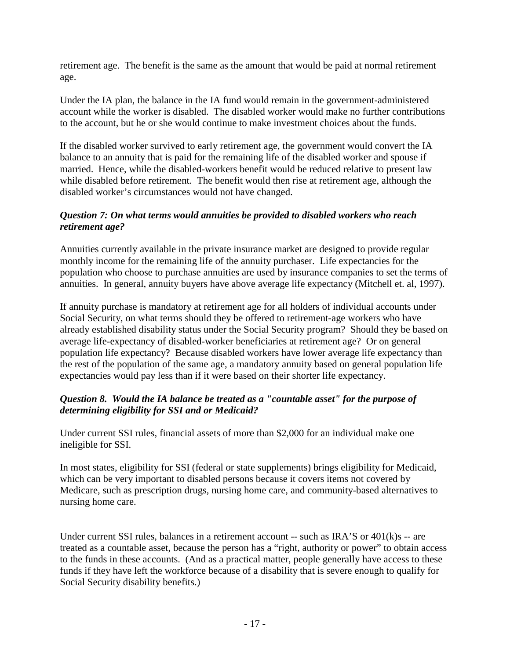retirement age. The benefit is the same as the amount that would be paid at normal retirement age.

Under the IA plan, the balance in the IA fund would remain in the government-administered account while the worker is disabled. The disabled worker would make no further contributions to the account, but he or she would continue to make investment choices about the funds.

If the disabled worker survived to early retirement age, the government would convert the IA balance to an annuity that is paid for the remaining life of the disabled worker and spouse if married. Hence, while the disabled-workers benefit would be reduced relative to present law while disabled before retirement. The benefit would then rise at retirement age, although the disabled worker's circumstances would not have changed.

#### *Question 7: On what terms would annuities be provided to disabled workers who reach retirement age?*

Annuities currently available in the private insurance market are designed to provide regular monthly income for the remaining life of the annuity purchaser. Life expectancies for the population who choose to purchase annuities are used by insurance companies to set the terms of annuities. In general, annuity buyers have above average life expectancy (Mitchell et. al, 1997).

If annuity purchase is mandatory at retirement age for all holders of individual accounts under Social Security, on what terms should they be offered to retirement-age workers who have already established disability status under the Social Security program? Should they be based on average life-expectancy of disabled-worker beneficiaries at retirement age? Or on general population life expectancy? Because disabled workers have lower average life expectancy than the rest of the population of the same age, a mandatory annuity based on general population life expectancies would pay less than if it were based on their shorter life expectancy.

### *Question 8. Would the IA balance be treated as a "countable asset" for the purpose of determining eligibility for SSI and or Medicaid?*

Under current SSI rules, financial assets of more than \$2,000 for an individual make one ineligible for SSI.

In most states, eligibility for SSI (federal or state supplements) brings eligibility for Medicaid, which can be very important to disabled persons because it covers items not covered by Medicare, such as prescription drugs, nursing home care, and community-based alternatives to nursing home care.

Under current SSI rules, balances in a retirement account  $-$  such as IRA'S or  $401(k)s -$  are treated as a countable asset, because the person has a "right, authority or power" to obtain access to the funds in these accounts. (And as a practical matter, people generally have access to these funds if they have left the workforce because of a disability that is severe enough to qualify for Social Security disability benefits.)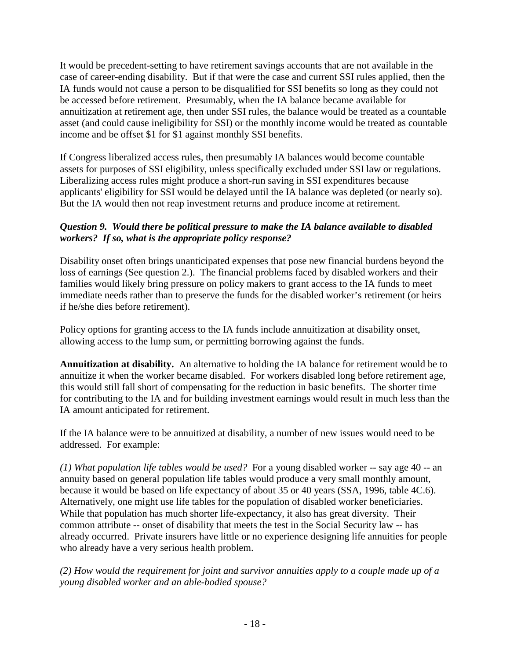It would be precedent-setting to have retirement savings accounts that are not available in the case of career-ending disability. But if that were the case and current SSI rules applied, then the IA funds would not cause a person to be disqualified for SSI benefits so long as they could not be accessed before retirement. Presumably, when the IA balance became available for annuitization at retirement age, then under SSI rules, the balance would be treated as a countable asset (and could cause ineligibility for SSI) or the monthly income would be treated as countable income and be offset \$1 for \$1 against monthly SSI benefits.

If Congress liberalized access rules, then presumably IA balances would become countable assets for purposes of SSI eligibility, unless specifically excluded under SSI law or regulations. Liberalizing access rules might produce a short-run saving in SSI expenditures because applicants' eligibility for SSI would be delayed until the IA balance was depleted (or nearly so). But the IA would then not reap investment returns and produce income at retirement.

### *Question 9. Would there be political pressure to make the IA balance available to disabled workers? If so, what is the appropriate policy response?*

Disability onset often brings unanticipated expenses that pose new financial burdens beyond the loss of earnings (See question 2.). The financial problems faced by disabled workers and their families would likely bring pressure on policy makers to grant access to the IA funds to meet immediate needs rather than to preserve the funds for the disabled worker's retirement (or heirs if he/she dies before retirement).

Policy options for granting access to the IA funds include annuitization at disability onset, allowing access to the lump sum, or permitting borrowing against the funds.

**Annuitization at disability.** An alternative to holding the IA balance for retirement would be to annuitize it when the worker became disabled. For workers disabled long before retirement age, this would still fall short of compensating for the reduction in basic benefits. The shorter time for contributing to the IA and for building investment earnings would result in much less than the IA amount anticipated for retirement.

If the IA balance were to be annuitized at disability, a number of new issues would need to be addressed. For example:

*(1) What population life tables would be used?* For a young disabled worker -- say age 40 -- an annuity based on general population life tables would produce a very small monthly amount, because it would be based on life expectancy of about 35 or 40 years (SSA, 1996, table 4C.6). Alternatively, one might use life tables for the population of disabled worker beneficiaries. While that population has much shorter life-expectancy, it also has great diversity. Their common attribute -- onset of disability that meets the test in the Social Security law -- has already occurred. Private insurers have little or no experience designing life annuities for people who already have a very serious health problem.

*(2) How would the requirement for joint and survivor annuities apply to a couple made up of a young disabled worker and an able-bodied spouse?*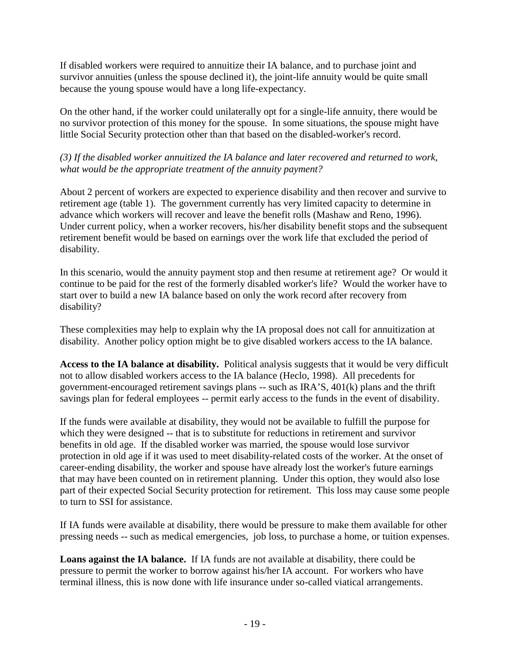If disabled workers were required to annuitize their IA balance, and to purchase joint and survivor annuities (unless the spouse declined it), the joint-life annuity would be quite small because the young spouse would have a long life-expectancy.

On the other hand, if the worker could unilaterally opt for a single-life annuity, there would be no survivor protection of this money for the spouse. In some situations, the spouse might have little Social Security protection other than that based on the disabled-worker's record.

#### *(3) If the disabled worker annuitized the IA balance and later recovered and returned to work, what would be the appropriate treatment of the annuity payment?*

About 2 percent of workers are expected to experience disability and then recover and survive to retirement age (table 1). The government currently has very limited capacity to determine in advance which workers will recover and leave the benefit rolls (Mashaw and Reno, 1996). Under current policy, when a worker recovers, his/her disability benefit stops and the subsequent retirement benefit would be based on earnings over the work life that excluded the period of disability.

In this scenario, would the annuity payment stop and then resume at retirement age? Or would it continue to be paid for the rest of the formerly disabled worker's life? Would the worker have to start over to build a new IA balance based on only the work record after recovery from disability?

These complexities may help to explain why the IA proposal does not call for annuitization at disability. Another policy option might be to give disabled workers access to the IA balance.

**Access to the IA balance at disability.** Political analysis suggests that it would be very difficult not to allow disabled workers access to the IA balance (Heclo, 1998). All precedents for government-encouraged retirement savings plans -- such as IRA'S, 401(k) plans and the thrift savings plan for federal employees -- permit early access to the funds in the event of disability.

If the funds were available at disability, they would not be available to fulfill the purpose for which they were designed -- that is to substitute for reductions in retirement and survivor benefits in old age. If the disabled worker was married, the spouse would lose survivor protection in old age if it was used to meet disability-related costs of the worker. At the onset of career-ending disability, the worker and spouse have already lost the worker's future earnings that may have been counted on in retirement planning. Under this option, they would also lose part of their expected Social Security protection for retirement. This loss may cause some people to turn to SSI for assistance.

If IA funds were available at disability, there would be pressure to make them available for other pressing needs -- such as medical emergencies, job loss, to purchase a home, or tuition expenses.

**Loans against the IA balance.** If IA funds are not available at disability, there could be pressure to permit the worker to borrow against his/her IA account. For workers who have terminal illness, this is now done with life insurance under so-called viatical arrangements.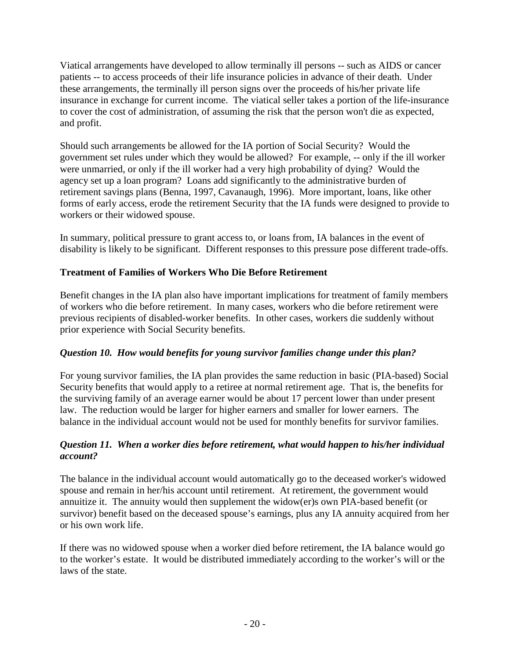Viatical arrangements have developed to allow terminally ill persons -- such as AIDS or cancer patients -- to access proceeds of their life insurance policies in advance of their death. Under these arrangements, the terminally ill person signs over the proceeds of his/her private life insurance in exchange for current income. The viatical seller takes a portion of the life-insurance to cover the cost of administration, of assuming the risk that the person won't die as expected, and profit.

Should such arrangements be allowed for the IA portion of Social Security? Would the government set rules under which they would be allowed? For example, -- only if the ill worker were unmarried, or only if the ill worker had a very high probability of dying? Would the agency set up a loan program? Loans add significantly to the administrative burden of retirement savings plans (Benna, 1997, Cavanaugh, 1996). More important, loans, like other forms of early access, erode the retirement Security that the IA funds were designed to provide to workers or their widowed spouse.

In summary, political pressure to grant access to, or loans from, IA balances in the event of disability is likely to be significant. Different responses to this pressure pose different trade-offs.

### **Treatment of Families of Workers Who Die Before Retirement**

Benefit changes in the IA plan also have important implications for treatment of family members of workers who die before retirement. In many cases, workers who die before retirement were previous recipients of disabled-worker benefits. In other cases, workers die suddenly without prior experience with Social Security benefits.

### *Question 10. How would benefits for young survivor families change under this plan?*

For young survivor families, the IA plan provides the same reduction in basic (PIA-based) Social Security benefits that would apply to a retiree at normal retirement age. That is, the benefits for the surviving family of an average earner would be about 17 percent lower than under present law. The reduction would be larger for higher earners and smaller for lower earners. The balance in the individual account would not be used for monthly benefits for survivor families.

#### *Question 11. When a worker dies before retirement, what would happen to his/her individual account?*

The balance in the individual account would automatically go to the deceased worker's widowed spouse and remain in her/his account until retirement. At retirement, the government would annuitize it. The annuity would then supplement the widow(er)s own PIA-based benefit (or survivor) benefit based on the deceased spouse's earnings, plus any IA annuity acquired from her or his own work life.

If there was no widowed spouse when a worker died before retirement, the IA balance would go to the worker's estate. It would be distributed immediately according to the worker's will or the laws of the state.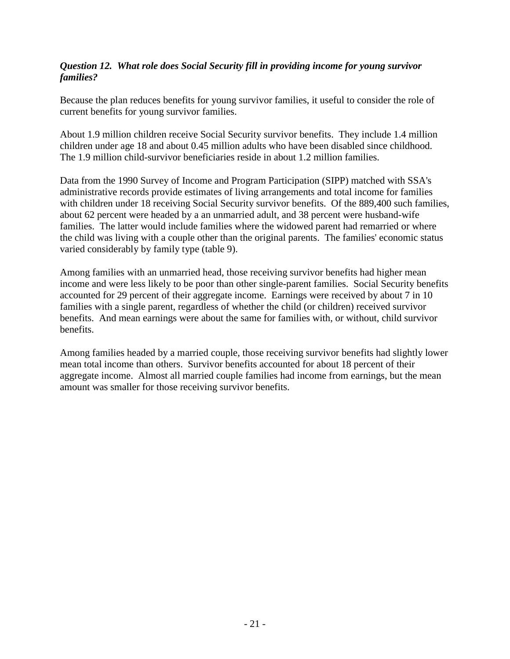#### *Question 12. What role does Social Security fill in providing income for young survivor families?*

Because the plan reduces benefits for young survivor families, it useful to consider the role of current benefits for young survivor families.

About 1.9 million children receive Social Security survivor benefits. They include 1.4 million children under age 18 and about 0.45 million adults who have been disabled since childhood. The 1.9 million child-survivor beneficiaries reside in about 1.2 million families.

Data from the 1990 Survey of Income and Program Participation (SIPP) matched with SSA's administrative records provide estimates of living arrangements and total income for families with children under 18 receiving Social Security survivor benefits. Of the 889,400 such families, about 62 percent were headed by a an unmarried adult, and 38 percent were husband-wife families. The latter would include families where the widowed parent had remarried or where the child was living with a couple other than the original parents. The families' economic status varied considerably by family type (table 9).

Among families with an unmarried head, those receiving survivor benefits had higher mean income and were less likely to be poor than other single-parent families. Social Security benefits accounted for 29 percent of their aggregate income. Earnings were received by about 7 in 10 families with a single parent, regardless of whether the child (or children) received survivor benefits. And mean earnings were about the same for families with, or without, child survivor benefits.

Among families headed by a married couple, those receiving survivor benefits had slightly lower mean total income than others. Survivor benefits accounted for about 18 percent of their aggregate income. Almost all married couple families had income from earnings, but the mean amount was smaller for those receiving survivor benefits.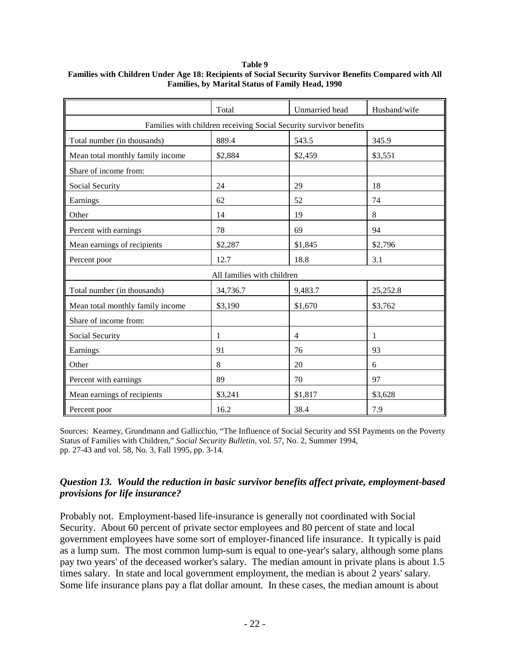#### **Table 9**

|                                                                    | Total                      | Unmarried head | Husband/wife |  |  |  |
|--------------------------------------------------------------------|----------------------------|----------------|--------------|--|--|--|
| Families with children receiving Social Security survivor benefits |                            |                |              |  |  |  |
| Total number (in thousands)<br>889.4<br>543.5<br>345.9             |                            |                |              |  |  |  |
| Mean total monthly family income                                   | \$2,884                    | \$2,459        | \$3,551      |  |  |  |
| Share of income from:                                              |                            |                |              |  |  |  |
| Social Security                                                    | 24                         | 29             | 18           |  |  |  |
| Earnings                                                           | 62                         | 52             | 74           |  |  |  |
| Other                                                              | 14                         | 19             | 8            |  |  |  |
| Percent with earnings                                              | 78                         | 69             | 94           |  |  |  |
| Mean earnings of recipients                                        | \$2,287                    | \$1,845        | \$2,796      |  |  |  |
| Percent poor                                                       | 12.7                       | 18.8           | 3.1          |  |  |  |
|                                                                    | All families with children |                |              |  |  |  |
| Total number (in thousands)                                        | 34,736.7                   | 9,483.7        | 25,252.8     |  |  |  |
| Mean total monthly family income                                   | \$3,190                    | \$1,670        | \$3,762      |  |  |  |
| Share of income from:                                              |                            |                |              |  |  |  |
| Social Security                                                    | 1                          | $\overline{4}$ | 1            |  |  |  |
| Earnings                                                           | 91                         | 76             | 93           |  |  |  |
| Other                                                              | 8                          | 20             | 6            |  |  |  |
| Percent with earnings                                              | 89                         | 70             | 97           |  |  |  |
| Mean earnings of recipients                                        | \$3,241                    | \$1,817        | \$3,628      |  |  |  |
| Percent poor                                                       | 16.2                       | 38.4           | 7.9          |  |  |  |

#### **Families with Children Under Age 18: Recipients of Social Security Survivor Benefits Compared with All Families, by Marital Status of Family Head, 1990**

Sources: Kearney, Grundmann and Gallicchio, "The Influence of Social Security and SSI Payments on the Poverty Status of Families with Children," *Social Security Bulletin*, vol. 57, No. 2, Summer 1994, pp. 27-43 and vol. 58, No. 3, Fall 1995, pp. 3-14.

#### *Question 13. Would the reduction in basic survivor benefits affect private, employment-based provisions for life insurance?*

Probably not. Employment-based life-insurance is generally not coordinated with Social Security. About 60 percent of private sector employees and 80 percent of state and local government employees have some sort of employer-financed life insurance. It typically is paid as a lump sum. The most common lump-sum is equal to one-year's salary, although some plans pay two years' of the deceased worker's salary. The median amount in private plans is about 1.5 times salary. In state and local government employment, the median is about 2 years' salary. Some life insurance plans pay a flat dollar amount. In these cases, the median amount is about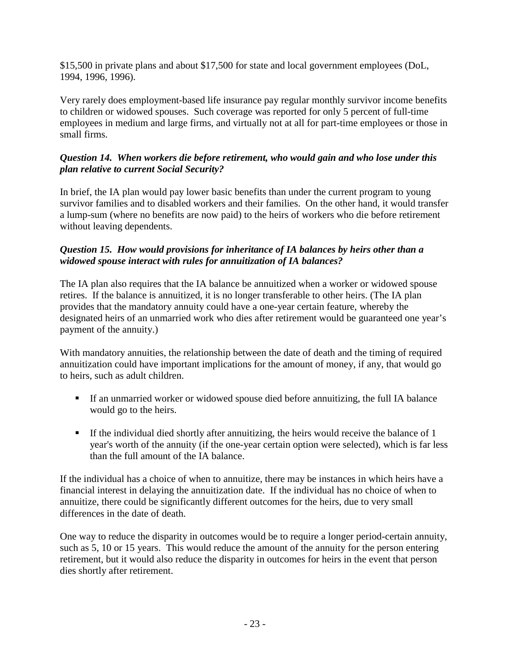\$15,500 in private plans and about \$17,500 for state and local government employees (DoL, 1994, 1996, 1996).

Very rarely does employment-based life insurance pay regular monthly survivor income benefits to children or widowed spouses. Such coverage was reported for only 5 percent of full-time employees in medium and large firms, and virtually not at all for part-time employees or those in small firms.

#### *Question 14. When workers die before retirement, who would gain and who lose under this plan relative to current Social Security?*

In brief, the IA plan would pay lower basic benefits than under the current program to young survivor families and to disabled workers and their families. On the other hand, it would transfer a lump-sum (where no benefits are now paid) to the heirs of workers who die before retirement without leaving dependents.

#### *Question 15. How would provisions for inheritance of IA balances by heirs other than a widowed spouse interact with rules for annuitization of IA balances?*

The IA plan also requires that the IA balance be annuitized when a worker or widowed spouse retires. If the balance is annuitized, it is no longer transferable to other heirs. (The IA plan provides that the mandatory annuity could have a one-year certain feature, whereby the designated heirs of an unmarried work who dies after retirement would be guaranteed one year's payment of the annuity.)

With mandatory annuities, the relationship between the date of death and the timing of required annuitization could have important implications for the amount of money, if any, that would go to heirs, such as adult children.

- ! If an unmarried worker or widowed spouse died before annuitizing, the full IA balance would go to the heirs.
- ! If the individual died shortly after annuitizing, the heirs would receive the balance of 1 year's worth of the annuity (if the one-year certain option were selected), which is far less than the full amount of the IA balance.

If the individual has a choice of when to annuitize, there may be instances in which heirs have a financial interest in delaying the annuitization date. If the individual has no choice of when to annuitize, there could be significantly different outcomes for the heirs, due to very small differences in the date of death.

One way to reduce the disparity in outcomes would be to require a longer period-certain annuity, such as 5, 10 or 15 years. This would reduce the amount of the annuity for the person entering retirement, but it would also reduce the disparity in outcomes for heirs in the event that person dies shortly after retirement.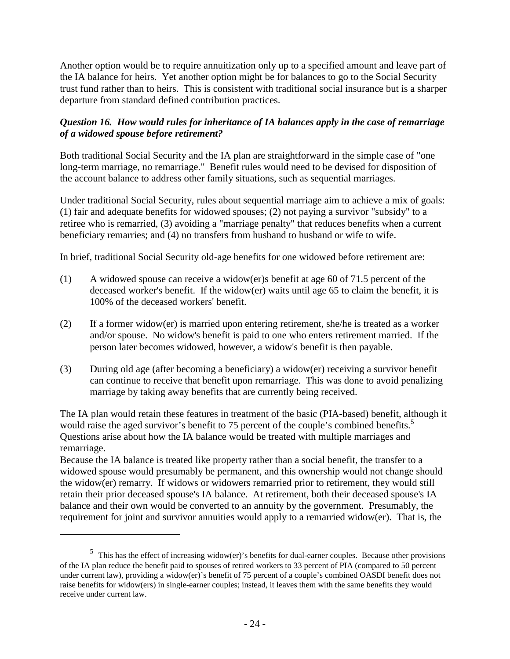Another option would be to require annuitization only up to a specified amount and leave part of the IA balance for heirs. Yet another option might be for balances to go to the Social Security trust fund rather than to heirs. This is consistent with traditional social insurance but is a sharper departure from standard defined contribution practices.

### *Question 16. How would rules for inheritance of IA balances apply in the case of remarriage of a widowed spouse before retirement?*

Both traditional Social Security and the IA plan are straightforward in the simple case of "one long-term marriage, no remarriage." Benefit rules would need to be devised for disposition of the account balance to address other family situations, such as sequential marriages.

Under traditional Social Security, rules about sequential marriage aim to achieve a mix of goals: (1) fair and adequate benefits for widowed spouses; (2) not paying a survivor "subsidy" to a retiree who is remarried, (3) avoiding a "marriage penalty" that reduces benefits when a current beneficiary remarries; and (4) no transfers from husband to husband or wife to wife.

In brief, traditional Social Security old-age benefits for one widowed before retirement are:

- (1) A widowed spouse can receive a widow(er)s benefit at age 60 of 71.5 percent of the deceased worker's benefit. If the widow(er) waits until age 65 to claim the benefit, it is 100% of the deceased workers' benefit.
- (2) If a former widow(er) is married upon entering retirement, she/he is treated as a worker and/or spouse. No widow's benefit is paid to one who enters retirement married. If the person later becomes widowed, however, a widow's benefit is then payable.
- (3) During old age (after becoming a beneficiary) a widow(er) receiving a survivor benefit can continue to receive that benefit upon remarriage. This was done to avoid penalizing marriage by taking away benefits that are currently being received.

The IA plan would retain these features in treatment of the basic (PIA-based) benefit, although it would raise the aged survivor's benefit to 75 percent of the couple's combined benefits.<sup>5</sup> Questions arise about how the IA balance would be treated with multiple marriages and remarriage.

Because the IA balance is treated like property rather than a social benefit, the transfer to a widowed spouse would presumably be permanent, and this ownership would not change should the widow(er) remarry. If widows or widowers remarried prior to retirement, they would still retain their prior deceased spouse's IA balance. At retirement, both their deceased spouse's IA balance and their own would be converted to an annuity by the government. Presumably, the requirement for joint and survivor annuities would apply to a remarried widow(er). That is, the

1

<sup>&</sup>lt;sup>5</sup> This has the effect of increasing widow(er)'s benefits for dual-earner couples. Because other provisions of the IA plan reduce the benefit paid to spouses of retired workers to 33 percent of PIA (compared to 50 percent under current law), providing a widow(er)'s benefit of 75 percent of a couple's combined OASDI benefit does not raise benefits for widow(ers) in single-earner couples; instead, it leaves them with the same benefits they would receive under current law.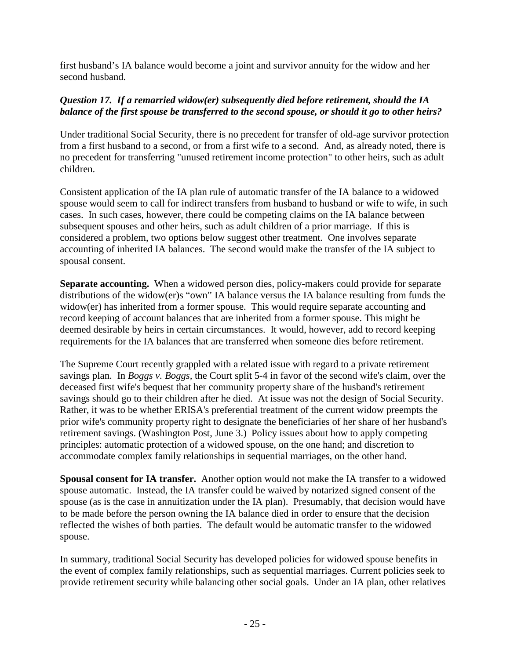first husband's IA balance would become a joint and survivor annuity for the widow and her second husband.

#### *Question 17. If a remarried widow(er) subsequently died before retirement, should the IA balance of the first spouse be transferred to the second spouse, or should it go to other heirs?*

Under traditional Social Security, there is no precedent for transfer of old-age survivor protection from a first husband to a second, or from a first wife to a second. And, as already noted, there is no precedent for transferring "unused retirement income protection" to other heirs, such as adult children.

Consistent application of the IA plan rule of automatic transfer of the IA balance to a widowed spouse would seem to call for indirect transfers from husband to husband or wife to wife, in such cases. In such cases, however, there could be competing claims on the IA balance between subsequent spouses and other heirs, such as adult children of a prior marriage. If this is considered a problem, two options below suggest other treatment. One involves separate accounting of inherited IA balances. The second would make the transfer of the IA subject to spousal consent.

**Separate accounting.** When a widowed person dies, policy-makers could provide for separate distributions of the widow(er)s "own" IA balance versus the IA balance resulting from funds the widow(er) has inherited from a former spouse. This would require separate accounting and record keeping of account balances that are inherited from a former spouse. This might be deemed desirable by heirs in certain circumstances. It would, however, add to record keeping requirements for the IA balances that are transferred when someone dies before retirement.

The Supreme Court recently grappled with a related issue with regard to a private retirement savings plan. In *Boggs v. Boggs,* the Court split 5-4 in favor of the second wife's claim, over the deceased first wife's bequest that her community property share of the husband's retirement savings should go to their children after he died. At issue was not the design of Social Security. Rather, it was to be whether ERISA's preferential treatment of the current widow preempts the prior wife's community property right to designate the beneficiaries of her share of her husband's retirement savings. (Washington Post, June 3.) Policy issues about how to apply competing principles: automatic protection of a widowed spouse, on the one hand; and discretion to accommodate complex family relationships in sequential marriages, on the other hand.

**Spousal consent for IA transfer.** Another option would not make the IA transfer to a widowed spouse automatic. Instead, the IA transfer could be waived by notarized signed consent of the spouse (as is the case in annuitization under the IA plan). Presumably, that decision would have to be made before the person owning the IA balance died in order to ensure that the decision reflected the wishes of both parties. The default would be automatic transfer to the widowed spouse.

In summary, traditional Social Security has developed policies for widowed spouse benefits in the event of complex family relationships, such as sequential marriages. Current policies seek to provide retirement security while balancing other social goals. Under an IA plan, other relatives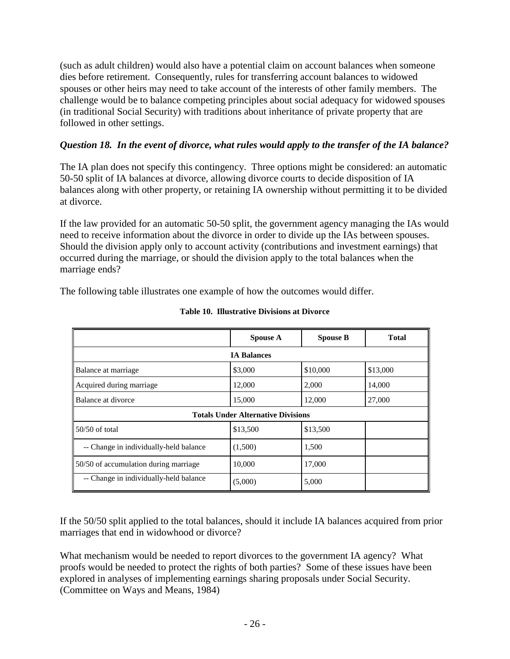(such as adult children) would also have a potential claim on account balances when someone dies before retirement. Consequently, rules for transferring account balances to widowed spouses or other heirs may need to take account of the interests of other family members. The challenge would be to balance competing principles about social adequacy for widowed spouses (in traditional Social Security) with traditions about inheritance of private property that are followed in other settings.

### *Question 18. In the event of divorce, what rules would apply to the transfer of the IA balance?*

The IA plan does not specify this contingency. Three options might be considered: an automatic 50-50 split of IA balances at divorce, allowing divorce courts to decide disposition of IA balances along with other property, or retaining IA ownership without permitting it to be divided at divorce.

If the law provided for an automatic 50-50 split, the government agency managing the IAs would need to receive information about the divorce in order to divide up the IAs between spouses. Should the division apply only to account activity (contributions and investment earnings) that occurred during the marriage, or should the division apply to the total balances when the marriage ends?

The following table illustrates one example of how the outcomes would differ.

|                                           | <b>Spouse A</b> | <b>Spouse B</b> | <b>Total</b> |
|-------------------------------------------|-----------------|-----------------|--------------|
| <b>IA Balances</b>                        |                 |                 |              |
| Balance at marriage                       | \$3,000         | \$10,000        | \$13,000     |
| Acquired during marriage                  | 12,000          | 2,000           | 14,000       |
| Balance at divorce                        | 15,000          | 12,000          | 27,000       |
| <b>Totals Under Alternative Divisions</b> |                 |                 |              |
| $50/50$ of total                          | \$13,500        | \$13,500        |              |
| -- Change in individually-held balance    | (1,500)         | 1,500           |              |
| 50/50 of accumulation during marriage     | 10,000          | 17,000          |              |
| -- Change in individually-held balance    | (5,000)         | 5,000           |              |

**Table 10. Illustrative Divisions at Divorce**

If the 50/50 split applied to the total balances, should it include IA balances acquired from prior marriages that end in widowhood or divorce?

What mechanism would be needed to report divorces to the government IA agency? What proofs would be needed to protect the rights of both parties? Some of these issues have been explored in analyses of implementing earnings sharing proposals under Social Security. (Committee on Ways and Means, 1984)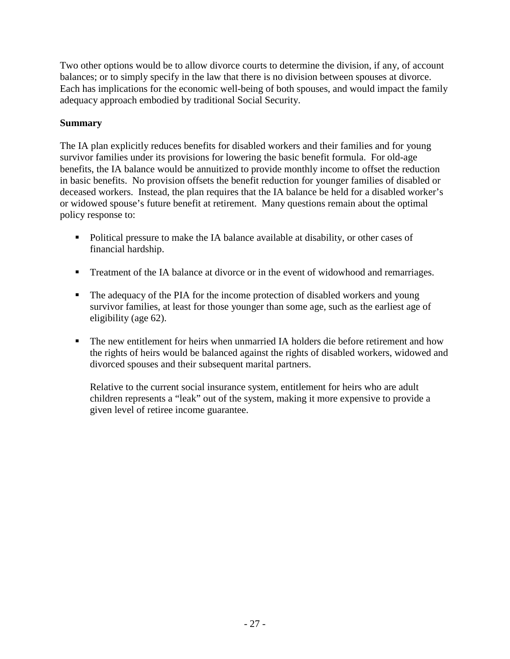Two other options would be to allow divorce courts to determine the division, if any, of account balances; or to simply specify in the law that there is no division between spouses at divorce. Each has implications for the economic well-being of both spouses, and would impact the family adequacy approach embodied by traditional Social Security.

### **Summary**

The IA plan explicitly reduces benefits for disabled workers and their families and for young survivor families under its provisions for lowering the basic benefit formula. For old-age benefits, the IA balance would be annuitized to provide monthly income to offset the reduction in basic benefits. No provision offsets the benefit reduction for younger families of disabled or deceased workers. Instead, the plan requires that the IA balance be held for a disabled worker's or widowed spouse's future benefit at retirement. Many questions remain about the optimal policy response to:

- Political pressure to make the IA balance available at disability, or other cases of financial hardship.
- ! Treatment of the IA balance at divorce or in the event of widowhood and remarriages.
- ! The adequacy of the PIA for the income protection of disabled workers and young survivor families, at least for those younger than some age, such as the earliest age of eligibility (age 62).
- ! The new entitlement for heirs when unmarried IA holders die before retirement and how the rights of heirs would be balanced against the rights of disabled workers, widowed and divorced spouses and their subsequent marital partners.

Relative to the current social insurance system, entitlement for heirs who are adult children represents a "leak" out of the system, making it more expensive to provide a given level of retiree income guarantee.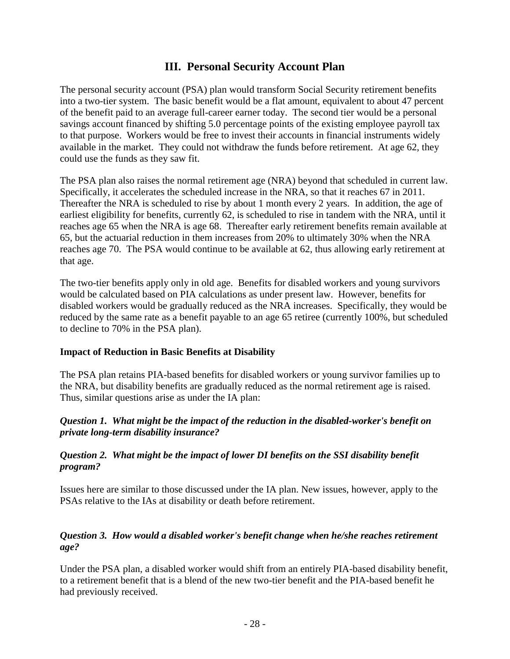## **III. Personal Security Account Plan**

The personal security account (PSA) plan would transform Social Security retirement benefits into a two-tier system. The basic benefit would be a flat amount, equivalent to about 47 percent of the benefit paid to an average full-career earner today. The second tier would be a personal savings account financed by shifting 5.0 percentage points of the existing employee payroll tax to that purpose. Workers would be free to invest their accounts in financial instruments widely available in the market. They could not withdraw the funds before retirement. At age 62, they could use the funds as they saw fit.

The PSA plan also raises the normal retirement age (NRA) beyond that scheduled in current law. Specifically, it accelerates the scheduled increase in the NRA, so that it reaches 67 in 2011. Thereafter the NRA is scheduled to rise by about 1 month every 2 years. In addition, the age of earliest eligibility for benefits, currently 62, is scheduled to rise in tandem with the NRA, until it reaches age 65 when the NRA is age 68. Thereafter early retirement benefits remain available at 65, but the actuarial reduction in them increases from 20% to ultimately 30% when the NRA reaches age 70. The PSA would continue to be available at 62, thus allowing early retirement at that age.

The two-tier benefits apply only in old age. Benefits for disabled workers and young survivors would be calculated based on PIA calculations as under present law. However, benefits for disabled workers would be gradually reduced as the NRA increases. Specifically, they would be reduced by the same rate as a benefit payable to an age 65 retiree (currently 100%, but scheduled to decline to 70% in the PSA plan).

#### **Impact of Reduction in Basic Benefits at Disability**

The PSA plan retains PIA-based benefits for disabled workers or young survivor families up to the NRA, but disability benefits are gradually reduced as the normal retirement age is raised. Thus, similar questions arise as under the IA plan:

#### *Question 1. What might be the impact of the reduction in the disabled-worker's benefit on private long-term disability insurance?*

#### *Question 2. What might be the impact of lower DI benefits on the SSI disability benefit program?*

Issues here are similar to those discussed under the IA plan. New issues, however, apply to the PSAs relative to the IAs at disability or death before retirement.

#### *Question 3. How would a disabled worker's benefit change when he/she reaches retirement age?*

Under the PSA plan, a disabled worker would shift from an entirely PIA-based disability benefit, to a retirement benefit that is a blend of the new two-tier benefit and the PIA-based benefit he had previously received.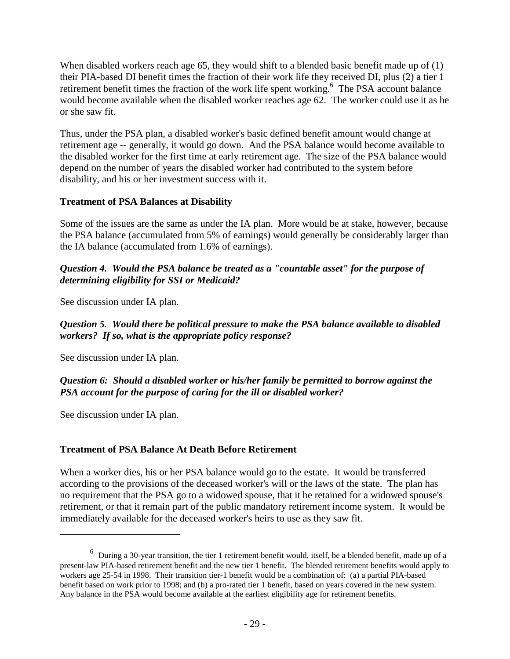When disabled workers reach age 65, they would shift to a blended basic benefit made up of (1) their PIA-based DI benefit times the fraction of their work life they received DI, plus (2) a tier 1 retirement benefit times the fraction of the work life spent working.<sup>6</sup> The PSA account balance would become available when the disabled worker reaches age 62. The worker could use it as he or she saw fit.

Thus, under the PSA plan, a disabled worker's basic defined benefit amount would change at retirement age -- generally, it would go down. And the PSA balance would become available to the disabled worker for the first time at early retirement age. The size of the PSA balance would depend on the number of years the disabled worker had contributed to the system before disability, and his or her investment success with it.

#### **Treatment of PSA Balances at Disability**

Some of the issues are the same as under the IA plan. More would be at stake, however, because the PSA balance (accumulated from 5% of earnings) would generally be considerably larger than the IA balance (accumulated from 1.6% of earnings).

#### *Question 4. Would the PSA balance be treated as a "countable asset" for the purpose of determining eligibility for SSI or Medicaid?*

See discussion under IA plan.

#### *Question 5. Would there be political pressure to make the PSA balance available to disabled workers? If so, what is the appropriate policy response?*

See discussion under IA plan.

#### *Question 6: Should a disabled worker or his/her family be permitted to borrow against the PSA account for the purpose of caring for the ill or disabled worker?*

See discussion under IA plan.

 $\overline{a}$ 

#### **Treatment of PSA Balance At Death Before Retirement**

When a worker dies, his or her PSA balance would go to the estate. It would be transferred according to the provisions of the deceased worker's will or the laws of the state. The plan has no requirement that the PSA go to a widowed spouse, that it be retained for a widowed spouse's retirement, or that it remain part of the public mandatory retirement income system. It would be immediately available for the deceased worker's heirs to use as they saw fit.

 $6$  During a 30-year transition, the tier 1 retirement benefit would, itself, be a blended benefit, made up of a present-law PIA-based retirement benefit and the new tier 1 benefit. The blended retirement benefits would apply to workers age 25-54 in 1998. Their transition tier-1 benefit would be a combination of: (a) a partial PIA-based benefit based on work prior to 1998; and (b) a pro-rated tier 1 benefit, based on years covered in the new system. Any balance in the PSA would become available at the earliest eligibility age for retirement benefits.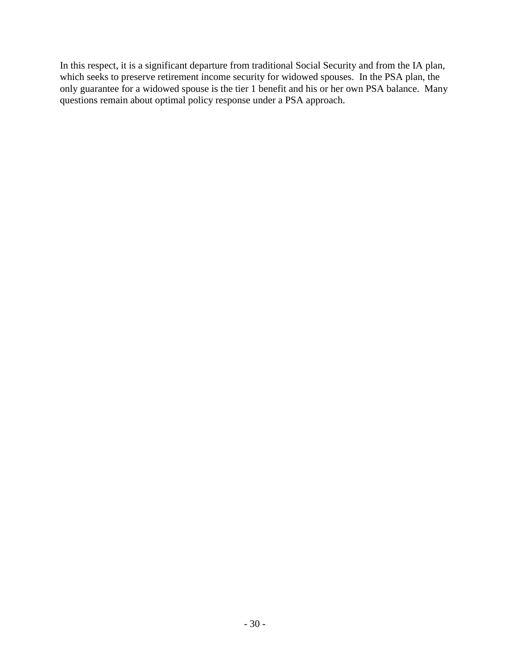In this respect, it is a significant departure from traditional Social Security and from the IA plan, which seeks to preserve retirement income security for widowed spouses. In the PSA plan, the only guarantee for a widowed spouse is the tier 1 benefit and his or her own PSA balance. Many questions remain about optimal policy response under a PSA approach.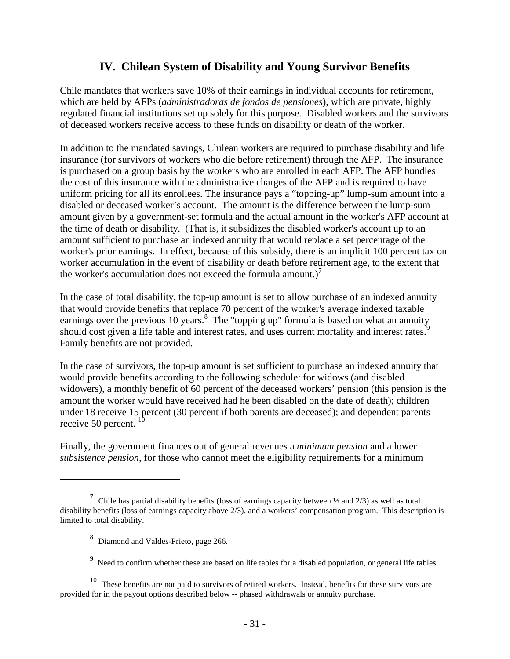# **IV. Chilean System of Disability and Young Survivor Benefits**

Chile mandates that workers save 10% of their earnings in individual accounts for retirement, which are held by AFPs (*administradoras de fondos de pensiones*), which are private, highly regulated financial institutions set up solely for this purpose. Disabled workers and the survivors of deceased workers receive access to these funds on disability or death of the worker.

In addition to the mandated savings, Chilean workers are required to purchase disability and life insurance (for survivors of workers who die before retirement) through the AFP. The insurance is purchased on a group basis by the workers who are enrolled in each AFP. The AFP bundles the cost of this insurance with the administrative charges of the AFP and is required to have uniform pricing for all its enrollees. The insurance pays a "topping-up" lump-sum amount into a disabled or deceased worker's account. The amount is the difference between the lump-sum amount given by a government-set formula and the actual amount in the worker's AFP account at the time of death or disability. (That is, it subsidizes the disabled worker's account up to an amount sufficient to purchase an indexed annuity that would replace a set percentage of the worker's prior earnings. In effect, because of this subsidy, there is an implicit 100 percent tax on worker accumulation in the event of disability or death before retirement age, to the extent that the worker's accumulation does not exceed the formula amount.)<sup>7</sup>

In the case of total disability, the top-up amount is set to allow purchase of an indexed annuity that would provide benefits that replace 70 percent of the worker's average indexed taxable earnings over the previous 10 years.<sup>8</sup> The "topping up" formula is based on what an annuity should cost given a life table and interest rates, and uses current mortality and interest rates.<sup>9</sup> Family benefits are not provided.

In the case of survivors, the top-up amount is set sufficient to purchase an indexed annuity that would provide benefits according to the following schedule: for widows (and disabled widowers), a monthly benefit of 60 percent of the deceased workers' pension (this pension is the amount the worker would have received had he been disabled on the date of death); children under 18 receive 15 percent (30 percent if both parents are deceased); and dependent parents receive 50 percent.  $10$ 

Finally, the government finances out of general revenues a *minimum pension* and a lower *subsistence pension*, for those who cannot meet the eligibility requirements for a minimum

 $\overline{a}$ 

<sup>&</sup>lt;sup>7</sup> Chile has partial disability benefits (loss of earnings capacity between  $\frac{1}{2}$  and  $\frac{2}{3}$ ) as well as total disability benefits (loss of earnings capacity above 2/3), and a workers' compensation program. This description is limited to total disability.

<sup>&</sup>lt;sup>8</sup> Diamond and Valdes-Prieto, page 266.

 $9 \text{ Need}$  to confirm whether these are based on life tables for a disabled population, or general life tables.

 $10$  These benefits are not paid to survivors of retired workers. Instead, benefits for these survivors are provided for in the payout options described below -- phased withdrawals or annuity purchase.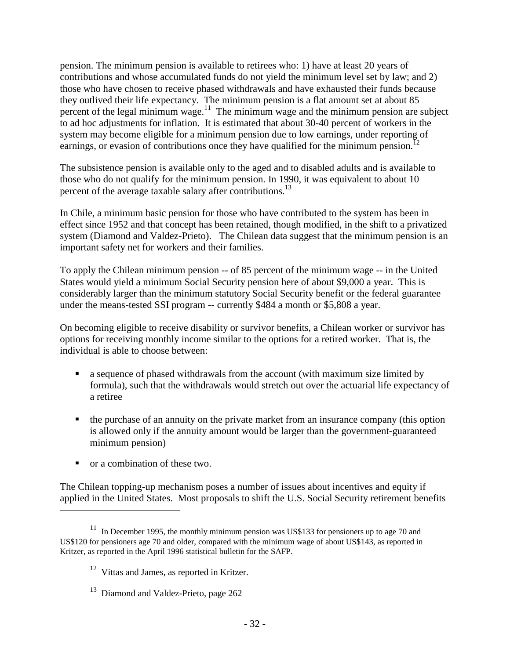pension. The minimum pension is available to retirees who: 1) have at least 20 years of contributions and whose accumulated funds do not yield the minimum level set by law; and 2) those who have chosen to receive phased withdrawals and have exhausted their funds because they outlived their life expectancy. The minimum pension is a flat amount set at about 85 percent of the legal minimum wage.<sup>11</sup> The minimum wage and the minimum pension are subject to ad hoc adjustments for inflation. It is estimated that about 30-40 percent of workers in the system may become eligible for a minimum pension due to low earnings, under reporting of earnings, or evasion of contributions once they have qualified for the minimum pension.<sup>12</sup>

The subsistence pension is available only to the aged and to disabled adults and is available to those who do not qualify for the minimum pension. In 1990, it was equivalent to about 10 percent of the average taxable salary after contributions.<sup>13</sup>

In Chile, a minimum basic pension for those who have contributed to the system has been in effect since 1952 and that concept has been retained, though modified, in the shift to a privatized system (Diamond and Valdez-Prieto). The Chilean data suggest that the minimum pension is an important safety net for workers and their families.

To apply the Chilean minimum pension -- of 85 percent of the minimum wage -- in the United States would yield a minimum Social Security pension here of about \$9,000 a year. This is considerably larger than the minimum statutory Social Security benefit or the federal guarantee under the means-tested SSI program -- currently \$484 a month or \$5,808 a year.

On becoming eligible to receive disability or survivor benefits, a Chilean worker or survivor has options for receiving monthly income similar to the options for a retired worker. That is, the individual is able to choose between:

- a sequence of phased withdrawals from the account (with maximum size limited by formula), such that the withdrawals would stretch out over the actuarial life expectancy of a retiree
- ! the purchase of an annuity on the private market from an insurance company (this option is allowed only if the annuity amount would be larger than the government-guaranteed minimum pension)
- ! or a combination of these two.

 $\overline{a}$ 

The Chilean topping-up mechanism poses a number of issues about incentives and equity if applied in the United States. Most proposals to shift the U.S. Social Security retirement benefits

 $11$  In December 1995, the monthly minimum pension was US\$133 for pensioners up to age 70 and US\$120 for pensioners age 70 and older, compared with the minimum wage of about US\$143, as reported in Kritzer, as reported in the April 1996 statistical bulletin for the SAFP.

<sup>&</sup>lt;sup>12</sup> Vittas and James, as reported in Kritzer.

<sup>&</sup>lt;sup>13</sup> Diamond and Valdez-Prieto, page 262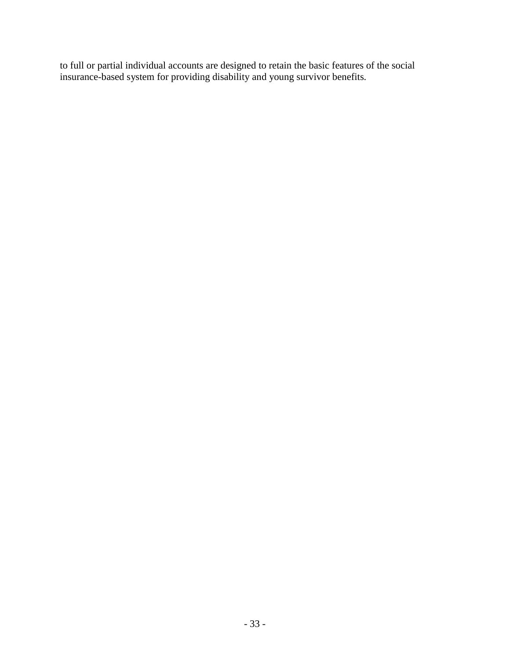to full or partial individual accounts are designed to retain the basic features of the social insurance-based system for providing disability and young survivor benefits*.*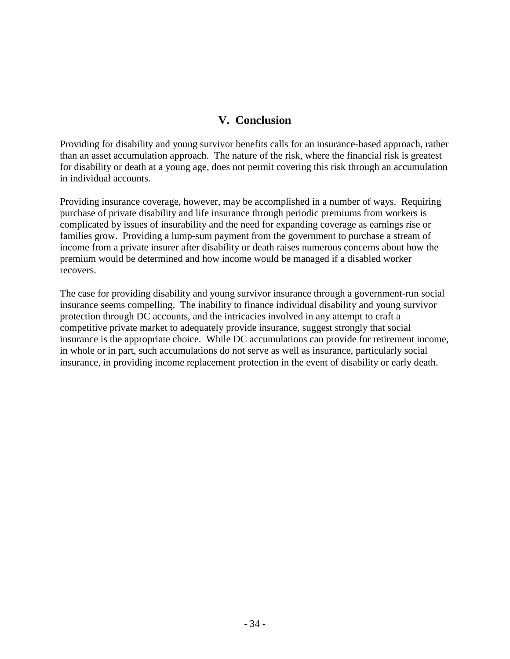# **V. Conclusion**

Providing for disability and young survivor benefits calls for an insurance-based approach, rather than an asset accumulation approach. The nature of the risk, where the financial risk is greatest for disability or death at a young age, does not permit covering this risk through an accumulation in individual accounts.

Providing insurance coverage, however, may be accomplished in a number of ways. Requiring purchase of private disability and life insurance through periodic premiums from workers is complicated by issues of insurability and the need for expanding coverage as earnings rise or families grow. Providing a lump-sum payment from the government to purchase a stream of income from a private insurer after disability or death raises numerous concerns about how the premium would be determined and how income would be managed if a disabled worker recovers.

The case for providing disability and young survivor insurance through a government-run social insurance seems compelling. The inability to finance individual disability and young survivor protection through DC accounts, and the intricacies involved in any attempt to craft a competitive private market to adequately provide insurance, suggest strongly that social insurance is the appropriate choice. While DC accumulations can provide for retirement income, in whole or in part, such accumulations do not serve as well as insurance, particularly social insurance, in providing income replacement protection in the event of disability or early death.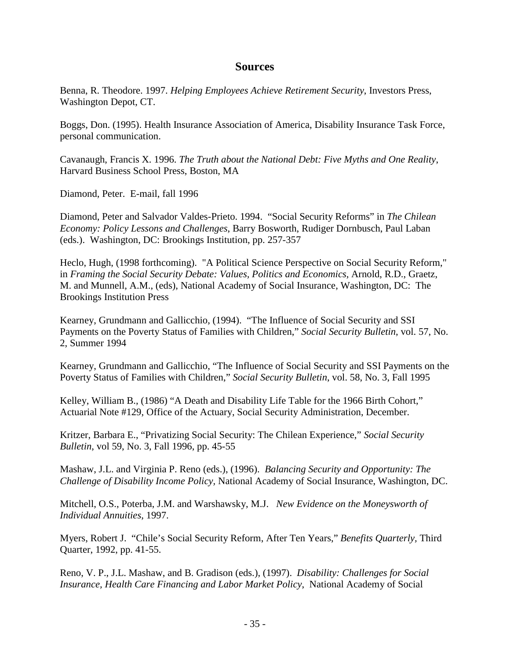#### **Sources**

Benna, R. Theodore. 1997. *Helping Employees Achieve Retirement Security*, Investors Press, Washington Depot, CT.

Boggs, Don. (1995). Health Insurance Association of America, Disability Insurance Task Force, personal communication.

Cavanaugh, Francis X. 1996. *The Truth about the National Debt: Five Myths and One Reality*, Harvard Business School Press, Boston, MA

Diamond, Peter. E-mail, fall 1996

Diamond, Peter and Salvador Valdes-Prieto. 1994. "Social Security Reforms" in *The Chilean Economy: Policy Lessons and Challenges*, Barry Bosworth, Rudiger Dornbusch, Paul Laban (eds.). Washington, DC: Brookings Institution, pp. 257-357

Heclo, Hugh, (1998 forthcoming). "A Political Science Perspective on Social Security Reform," in *Framing the Social Security Debate: Values, Politics and Economics,* Arnold, R.D., Graetz, M. and Munnell, A.M., (eds), National Academy of Social Insurance, Washington, DC: The Brookings Institution Press

Kearney, Grundmann and Gallicchio, (1994). "The Influence of Social Security and SSI Payments on the Poverty Status of Families with Children," *Social Security Bulletin*, vol. 57, No. 2, Summer 1994

Kearney, Grundmann and Gallicchio, "The Influence of Social Security and SSI Payments on the Poverty Status of Families with Children," *Social Security Bulletin*, vol. 58, No. 3, Fall 1995

Kelley, William B., (1986) "A Death and Disability Life Table for the 1966 Birth Cohort," Actuarial Note #129, Office of the Actuary, Social Security Administration, December.

Kritzer, Barbara E., "Privatizing Social Security: The Chilean Experience," *Social Security Bulletin*, vol 59, No. 3, Fall 1996, pp. 45-55

Mashaw, J.L. and Virginia P. Reno (eds.), (1996). *Balancing Security and Opportunity: The Challenge of Disability Income Policy,* National Academy of Social Insurance, Washington, DC.

Mitchell, O.S., Poterba, J.M. and Warshawsky, M.J. *New Evidence on the Moneysworth of Individual Annuities*, 1997.

Myers, Robert J. "Chile's Social Security Reform, After Ten Years," *Benefits Quarterly,* Third Quarter, 1992, pp. 41-55.

Reno, V. P., J.L. Mashaw, and B. Gradison (eds.), (1997). *Disability: Challenges for Social Insurance, Health Care Financing and Labor Market Policy*, National Academy of Social